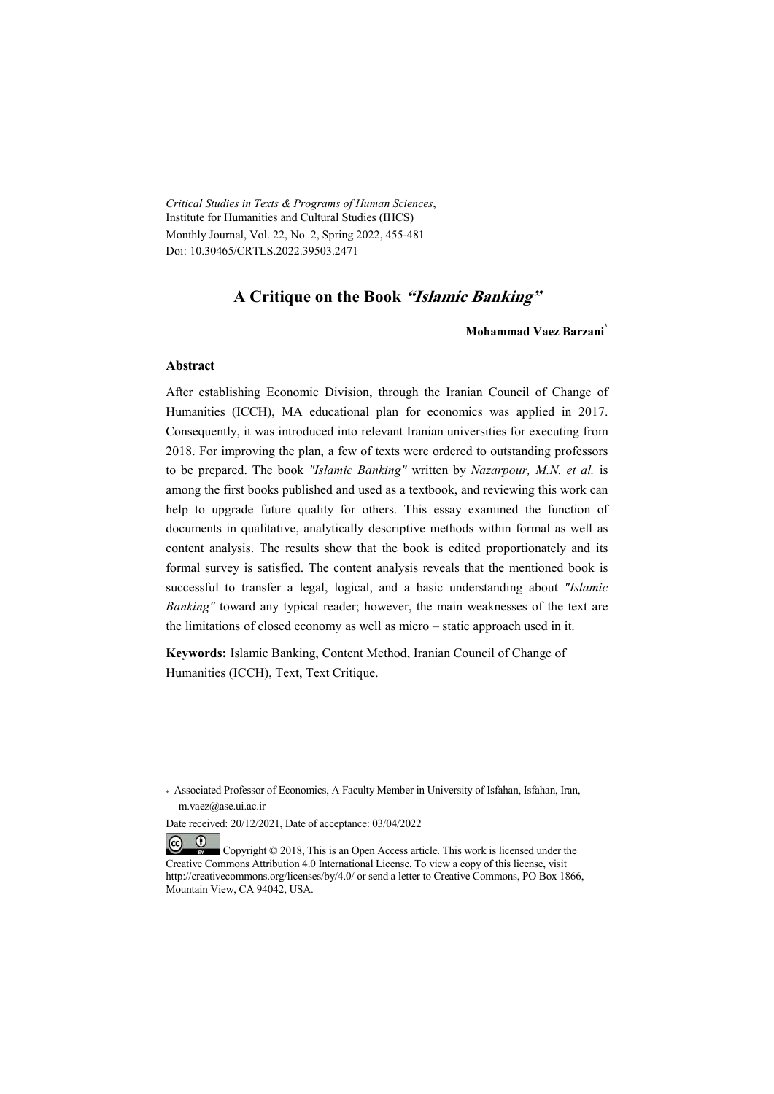*Critical Studies in Texts & Programs of Human Sciences*, Institute for Humanities and Cultural Studies (IHCS) Monthly Journal, Vol. 22, No. 2, Spring 2022, 455-481 Doi: 10.30465/CRTLS.2022.39503.2471

### **A Critique on the Book "Islamic Banking"**

**Mohammad Vaez Barzani\***

#### **Abstract**

After establishing Economic Division, through the Iranian Council of Change of Humanities (ICCH), MA educational plan for economics was applied in 2017. Consequently, it was introduced into relevant Iranian universities for executing from 2018. For improving the plan, a few of texts were ordered to outstanding professors to be prepared. The book *"Islamic Banking"* written by *Nazarpour, M.N. et al.* is among the first books published and used as a textbook, and reviewing this work can help to upgrade future quality for others. This essay examined the function of documents in qualitative, analytically descriptive methods within formal as well as content analysis. The results show that the book is edited proportionately and its formal survey is satisfied. The content analysis reveals that the mentioned book is successful to transfer a legal, logical, and a basic understanding about *"Islamic Banking"* toward any typical reader; however, the main weaknesses of the text are the limitations of closed economy as well as micro – static approach used in it.

**Keywords:** Islamic Banking, Content Method, Iranian Council of Change of Humanities (ICCH), Text, Text Critique.

<sup>\*</sup> Associated Professor of Economics, A Faculty Member in University of Isfahan, Isfahan, Iran, m.vaez@ase.ui.ac.ir

Date received: 20/12/2021, Date of acceptance: 03/04/2022

 $(cc)$  $(1)$  Copyright © 2018, This is an Open Access article. This work is licensed under the Creative Commons Attribution 4.0 International License. To view a copy of this license, visit http://creativecommons.org/licenses/by/4.0/ or send a letter to Creative Commons, PO Box 1866, Mountain View, CA 94042, USA.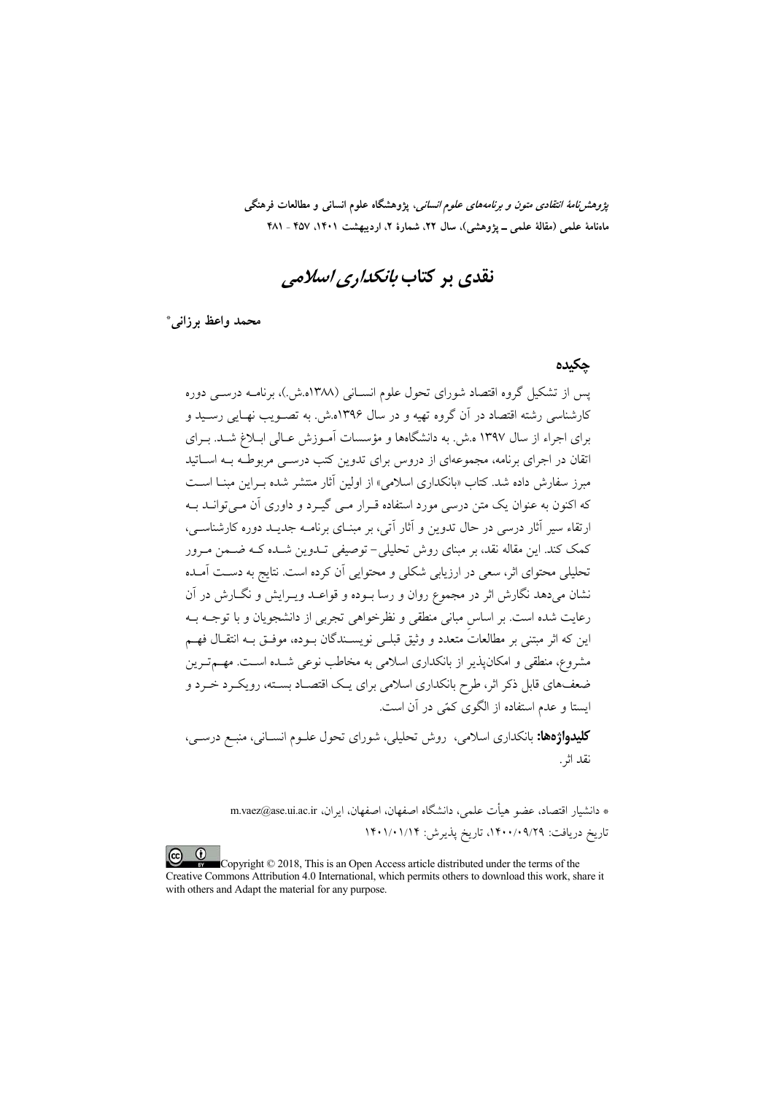*پژوهشنامهٔ انتقادی متون و برنامههای علوم انسانی،* پژوهشگاه علوم انسانی و مطالعات فرهنگی ماهنامهٔ علمی (مقالهٔ علمی ــ پژوهشی)، سال ۲۲، شمارهٔ ۲، اردیبهشت ۱۴۰۱، ۴۵۷ ـ ۴۸۱

# نقدی بر کتاب *بانکداری اسلامی*

محمد واعظ برزانبي\*

#### حكىدە

یس از تشکیل گروه اقتصاد شورای تحول علوم انســانی (۱۳۸۸ه.ش.)، برنامــه درســی دوره کارشناسی رشته اقتصاد در آن گروه تهیه و در سال ۱۳۹۶ه.ش. به تصـویب نهـایی رسـید و برای اجراء از سال ۱۳۹۷ ه.ش. به دانشگاهها و مؤسسات آمـوزش عـالی ابـلاغ شــد. بــرای اتقان در اجرای برنامه، مجموعهای از دروس برای تدوین کتب درســی مربوطــه بــه اســاتید مبرز سفارش داده شد. کتاب «بانکداری اسلامی» از اولین آثار منتشر شده بـراین مبنــا اســت که اکنون به عنوان یک متن درسی مورد استفاده قـرار مـی گیـرد و داوری آن مـی توانــد بــه ارتقاء سیر آثار درسی در حال تدوین و آثار آتی، بر مبنـای برنامــه جدیــد دوره کارشناســی، کمک کند. این مقاله نقد، بر مبنای روش تحلیلی– توصیفی تــدوین شــده کــه ضــمن مــرور تحلیلی محتوای اثر، سعی در ارزیابی شکلی و محتوایی اَن کرده است. نتایج به دسـت اَمـده نشان میدهد نگارش اثر در مجموع روان و رسا بـوده و قواعـد ویــرایش و نگــارش در آن رعایت شده است. بر اساس مبانی منطقی و نظرخواهی تجربی از دانشجویان و با توجـه بــه این که اثر مبتنی بر مطالعات متعدد و وثیق قبلـی نویســندگان بــوده، موفــق بــه انتقــال فهــم مشروع، منطقی و امکانپذیر از بانکداری اسلامی به مخاطب نوعی شـده اسـت. مهــمتــرین ضعفهای قابل ذکر اثر، طرح بانکداری اسلامی برای یک اقتصـاد بسـته، رویکـرد خـرد و ابستا و عدم استفاده از الگوی کمّر در آن است.

**کلیدهاژهها:** بانکداری اسلامی، روش تحلیلی، شورای تحول علـوم انسـانی، منبـع درسـی، نقد اثر .

> \* دانشيار اقتصاد، عضو هيأت علمي، دانشگاه اصفهان، اصفهان، ايران، m.vaez@ase.ui.ac.ir تاریخ دریافت: ۰/۰۹/۲۹/۲۹، تاریخ پذیرش: ۱۴۰۱/۰۱/۱۴

 $\odot$ Copyright © 2018, This is an Open Access article distributed under the terms of the Creative Commons Attribution 4.0 International, which permits others to download this work, share it with others and Adapt the material for any purpose.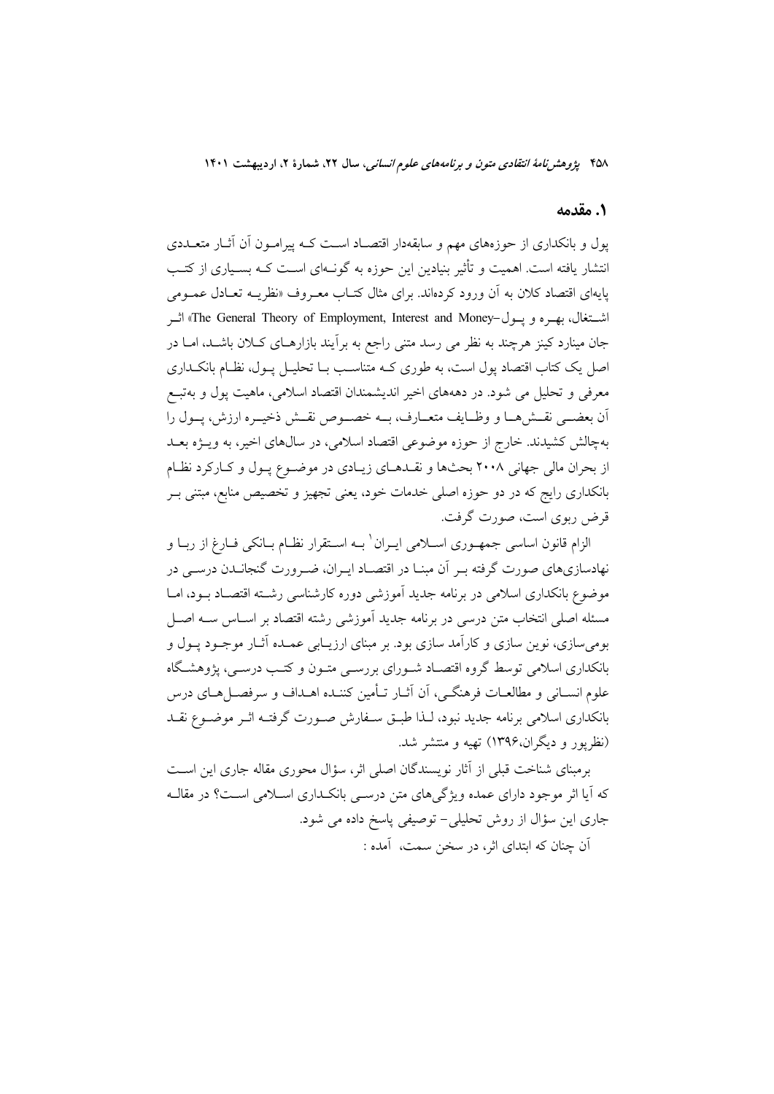### **1.**

یول و بانکداری از حوزههای مهم و سابقهدار اقتصـاد اسـت کـه پیرامـون آن آثـار متعــددی انتشار یافته است. اهمیت و تأثیر بنیادین این حوزه به گونـهای اســت کــه بســیاری از کتــب پایهای اقتصاد کلان به ان ورود کردهاند. برای مثال کتــاب معــروف «نظریــه تعــادل عمــومی اشــتغال، بهـره و يــول-The General Theory of Employment, Interest and Money» اثــر جان مینارد کینز هرچند به نظر می رسد متنی راجع به برآیند بازارهـای کــلان باشــد، امــا در اصل یک کتاب اقتصاد پول است، به طوری کـه متناسـب بــا تحلیــل پــول، نظــام بانکــداری معرفی و تحلیل می شود. در دهههای اخیر اندیشمندان اقتصاد اسلامی، ماهیت پول و بهتبــع ان بعضــي نقــشهــا و وظــايف متعــارف، بـــه خصـــوص نقــش ذخيــره ارزش، پـــول را بهچالش کشیدند. خارج از حوزه موضوعی اقتصاد اسلامی، در سال&ای اخیر، به ویــژه بعــد ز بحران مالی جهانی ۲۰۰۸ بحثها و نقـدهـای زیـادی در موضـوع پـول و کـارکرد نظـام بانکداری رایج که در دو حوزه اصلی خدمات خود، یعنی تجهیز و تخصیص منابع، مبتنی بــر قرض ربوي است، صورت گرفت.

لزام قانون اساسی جمهــوری اســلامی ایــران ٰ بــه اســتقرار نظــام بــانکی فــارغ از ربــا و نهادسازیهای صورت گرفته بـر ان مبنـا در اقتصـاد ايـران، ضـرورت گنجانــدن درســی در موضوع بانکداری اسلامی در برنامه جدید اموزشی دوره کارشناسی رشــته اقتصــاد بــود، امــا مسئله اصلی انتخاب متن درسی در برنامه جدید اموزشی رشته اقتصاد بر اسـاس ســه اصــل بومیسازی، نوین سازی و کارامد سازی بود. بر مبنای ارزیــابی عمــده اثــار موجــود پــول و بانکداری اسلامی توسط گروه اقتصـاد شــورای بررســی متــون و کتــب درســی، پژوهشــگاه علوم انســانی و مطالعــات فرهنگــی، آن آثــار تــأمین کننــده اهــداف و سرفصــلهــای درس بانکداری اسلامی برنامه جدید نبود، لـذا طبــق ســفارش صــورت گرفتــه اثــر موضــوع نقــد (نظریور و دیگران،۱۳۹۶) تهیه و منتشر شد.

برمبنای شناخت قبلی از اثار نویسندگان اصلی اثر، سؤال محوری مقاله جاری این اسـت که ایا اثر موجود دارای عمده ویژگیهای متن درسـی بانکـداری اســلامی اســت؟ در مقالــه جاری این سؤال از روش تحلیلی– توصیفی پاسخ داده می شود. آن چنان که ابتدای اثر، در سخن سمت، آمده :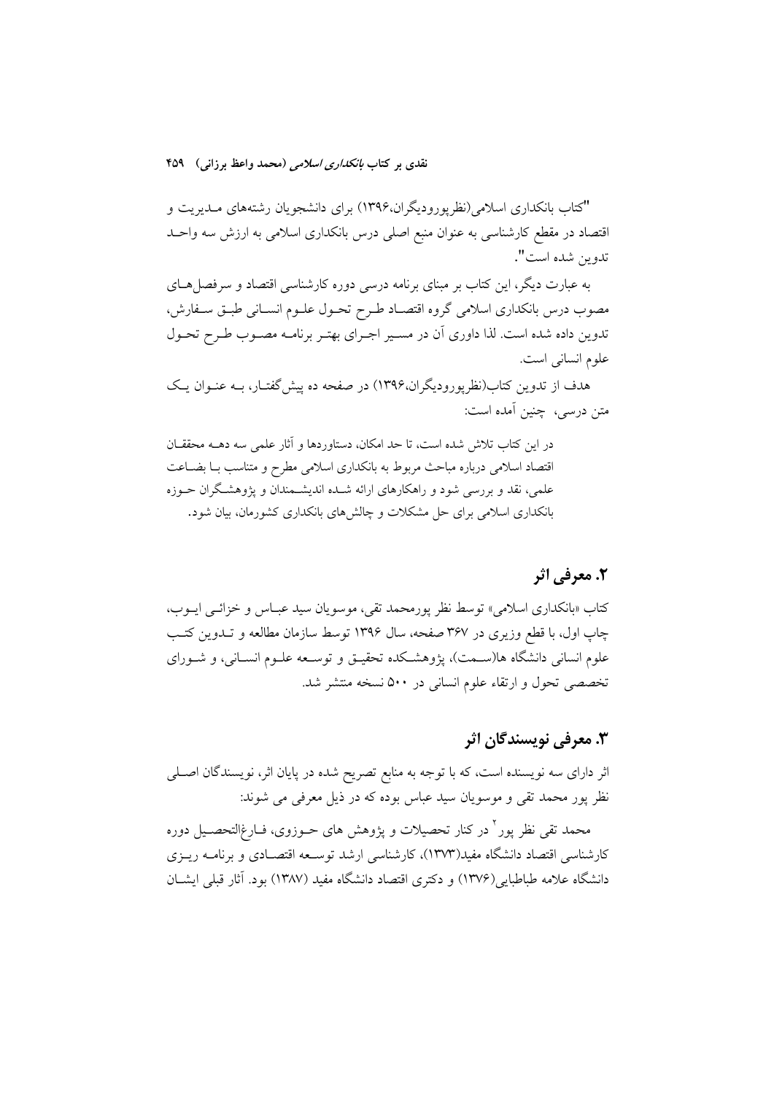"کتاب بانکداری اسلامی(نظرپورودیگران،۱۳۹۶) برای دانشجویان رشتههای مــدیریت و قتصاد در مقطع کارشناسی به عنوان منبع اصلی درس بانکداری اسلامی به ارزش سه واحــد تدوين شده است".

به عبارت دیگر، این کتاب بر مبنای برنامه درسی دوره کارشناسی اقتصاد و سرفصل۱عای مصوب درس بانکداری اسلامی گروه اقتصـاد طـرح تحـول علـوم انســانی طبـق سـفارش، تدوین داده شده است. لذا داوری آن در مسـیر اجـرای بهتـر برنامـه مصـوب طـرح تحـول علوم انسانی است.

هدف از تدوین کتاب(نظریورودیگران،۱۳۹۶) در صفحه ده پیش گفتـار، بــه عنــوان یــک متن درسی، چنین امده است:

در این کتاب تلاش شده است، تا حد امکان، دستاوردها و اثار علمی سه دهــه محققــان قتصاد اسلامی درباره مباحث مربوط به بانکداری اسلامی مطرح و متناسب بـا بضــاعت علمی، نقد و بررسی شود و راهکارهای ارائه شــده اندیشــمندان و پژوهشــگران حــوزه بانکداری اسلامی برای حل مشکلات و چالش۱مای بانکداری کشورمان، بیان شود.

### **2. معرفی اثر**

کتاب «بانکداری اسلامی» توسط نظر پورمحمد تقی، موسویان سید عبــاس و خزائــی ایــوب، چاپ اول، با قطع وزیری در ۳۶۷ صفحه، سال ۱۳۹۶ توسط سازمان مطالعه و تــدوین کتــب علوم انسانی دانشگاه ها(ســمت)، پژوهشــکده تحقیــق و توســعه علــوم انســانی، و شــورای تخصصی تحول و ارتقاء علوم انسانی در ۵۰۰ نسخه منتشر شد.

## **#\$ %&'(  ! 3 .**

ثر دارای سه نویسنده است، که با توجه به منابع تصریح شده در پایان اثر، نویسندگان اصــلی نظر پور محمد تقی و موسویان سید عباس بوده که در ذیل معرف*ی می* شوند:

محمد تقی نظر پور<sup>۲</sup> در کنار تحصیلات و پژوهش های حــوزوی، فــارغ|لتحصــیل دوره کارشناسی اقتصاد دانشگاه مفید(۱۳۷۳)، کارشناسی ارشد توســعه اقتصــادی و برنامــه ریــزی دانشگاه علامه طباطبایی(۱۳۷۶) و دکتری اقتصاد دانشگاه مفید (۱۳۸۷) بود. اثار قبلی ایشــان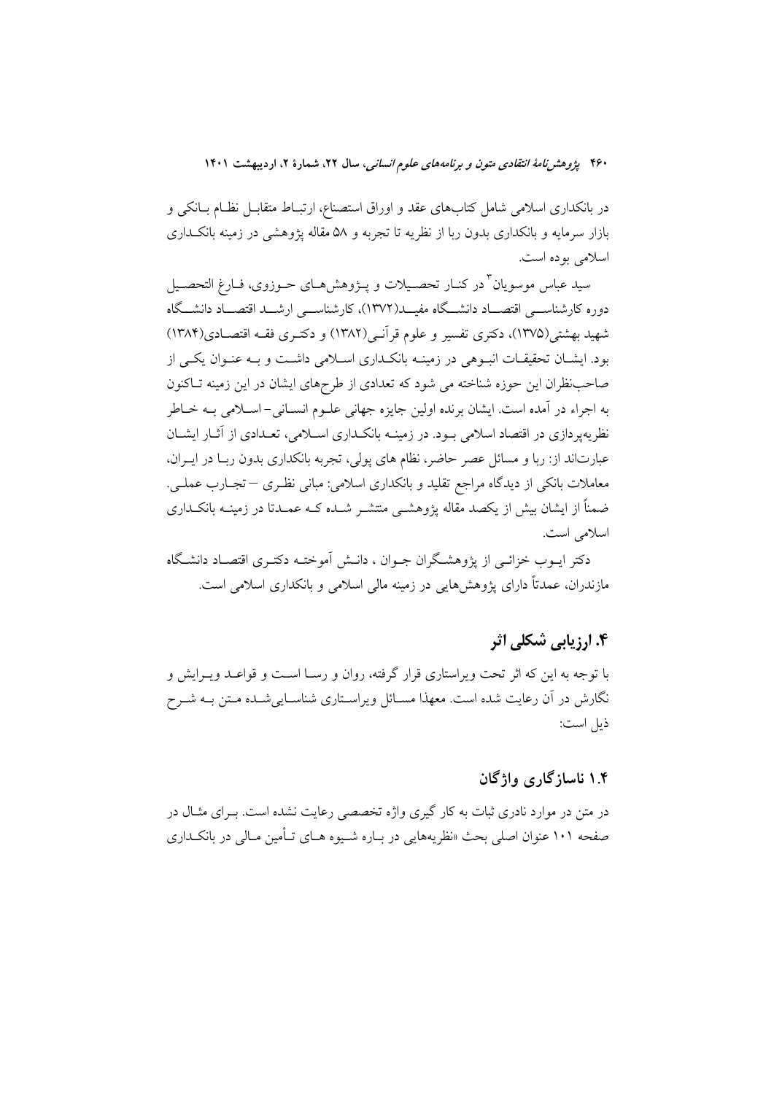در بانکداری اسلامی شامل کتابهای عقد و اوراق استصناع، ارتبـاط متقابــل نظـام بــانکی و بازار سرمایه و بانکداری بدون ربا از نظریه تا تجربه و ۵۸ مقاله یژوهشی در زمینه بانکـداری اسلامي بوده است.

سيد عباس موسويان ّ در كنــار تحصــيلات و پــژوهش۹مــاي حــوزوي، فــارغ التحصــيل دوره كارشناســي اقتصـــاد دانشـــگاه مفيـــد(١٣٧٢)، كارشناســـي ارشـــد اقتصـــاد دانشـــگاه شهید بهشتی(۱۳۷۵)، دکتری تفسیر و علوم قرآنس(۱۳۸۲) و دکتـری فقــه اقتصــادی(۱۳۸۴) بود. ایشـان تحقیقـات انبـوهی در زمینـه بانکـداری اسـلامی داشـت و بـه عنـوان یکـی از صاحب نظران این حوزه شناخته می شود که تعدادی از طرحهای ایشان در این زمینه تـاکنون به اجراء در آمده است. ایشان برنده اولین جایزه جهانی علــوم انســانی- اســلامی بــه خــاطر نظریه یودازی در اقتصاد اسلامی سود. در زمینیه بانکیداری اسپلامی، تعیدادی از آثیار ایشیان عبارتاند از: ربا و مسائل عصر حاضر، نظام های پولی، تجربه بانکداری بدون ربـا در ایــران، معاملات بانکی از دیدگاه مراجع تقلید و بانکداری اسلامی: مبانی نظـری —تجـارب عملـی. ضمناً از ایشان بیش از یکصد مقاله پژوهشـی منتشـر شـده کـه عمـدتا در زمینــه بانکـداری اسلامی است.

دکتر ایــوب خزائــی از پژوهشـگران جــوان ، دانــش آموختــه دکتــری اقتصــاد دانشـگاه مازندران، عمدتاً دارای پژوهش هایی در زمینه مالی اسلامی و بانکداری اسلامی است.

## ۴. ارزیابی شکلی اثر

با توجه به این که اثر تحت ویراستاری قرار گرفته، روان و رســا اســت و قواعــد ویــرایش و نگارش در آن رعایت شده است. معهذا مســائل ویراســتاری شناســاییشــده مــتن بــه شــرح ذيل است:

### ۱.۴ ناسازگاری وإژگان

در متن در موارد نادری ثبات به کار گیری واژه تخصصی رعایت نشده است. بـرای مثــال در صفحه ۱۰۱ عنوان اصلی بحث «نظریههایی در بـاره شـیوه هـای تـأمین مـالی در بانکـداری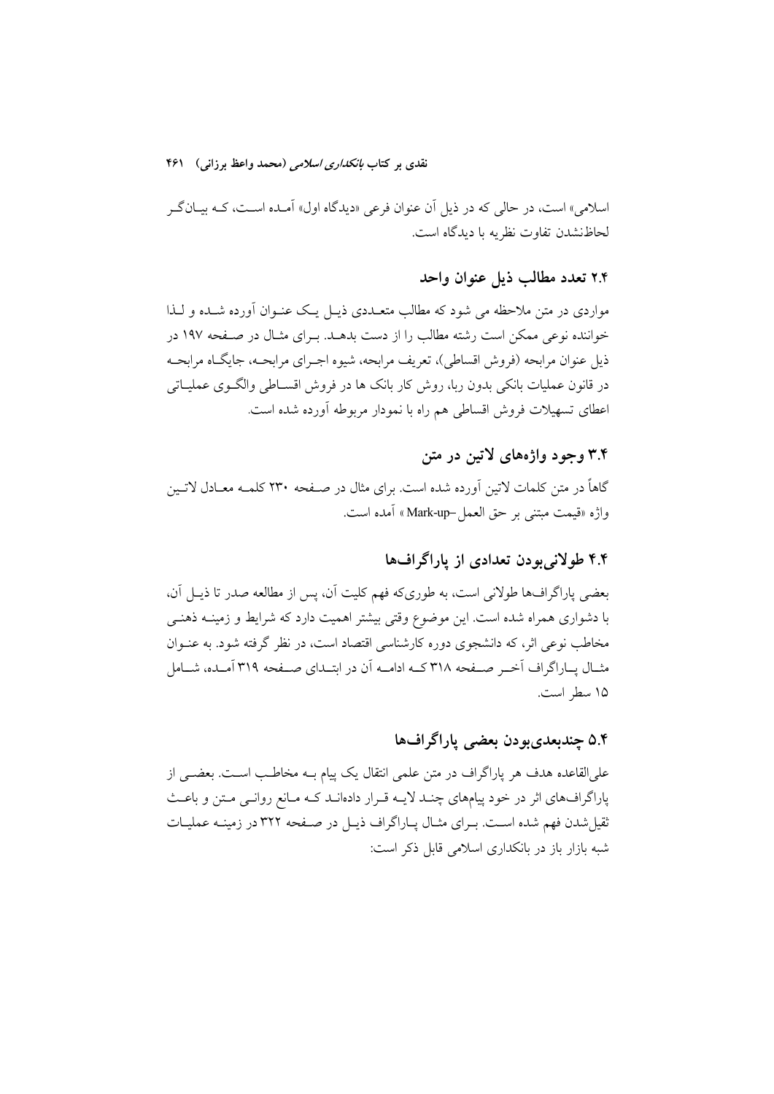اسلامي» است، در حالي كه در ذيل آن عنوان فرعي «ديدگاه اول» آمـده اسـت، كـه بيــانگــر لحاظنشدن تفاوت نظريه با ديدگاه است.

### ۲.۴ تعدد مطالب ذما عنوان واحد

مواردی در متن ملاحظه می شود که مطالب متعــددی ذیــل یــک عنــوان آورده شــده و لــذا خواننده نوعی ممکن است رشته مطالب را از دست بدهــد. بــرای مثــال در صــفحه ۱۹۷ در ذیل عنوان مرابحه (فروش اقساطی)، تعریف مرابحه، شیوه اجـرای مرابحــه، جایگــاه مرابحــه در قانون عملیات بانکی بدون ربا، روش کار بانک ها در فروش اقســاطی والگــوی عملیــاتی اعطای تسهیلات فروش اقساطی هم راه با نمودار مربوطه آورده شده است.

### ۳.۴ وجود واژههای لاتین در متن

گاهاً در متن کلمات لاتین اَورده شده است. برای مثال در صـفحه ۲۳۰ کلمـه معـادل لاتـین واژه «قيمت مبتني بر حق العمل-Mark-up » أمده است.

### ۴.۴ طولانی بودن تعدادی از پاراگرافها

بعضي ياراگرافها طولاني است، به طوريكه فهم كليت آن، پس از مطالعه صدر تا ذيـل آن، با دشواری همراه شده است. این موضوع وقتی بیشتر اهمیت دارد که شرایط و زمینــه ذهنــی مخاطب نوعی اثر، که دانشجوی دوره کارشناسی اقتصاد است، در نظر گرفته شود. به عنــوان مثــال يــاراگراف اَخــر صــفحه ٣١٨ كــه ادامــه اَن در ابتــداي صــفحه ٣١٩ اَمــده، شــامل ١۵ سطر است.

# ۵.۴ چندبعدیبودن بعضی پاراگرافها

علىالقاعده هدف هر ياراگراف در متن علمي انتقال يک پيام بــه مخاطـب اســت. بعضــي از پاراگرافهای اثر در خود پیامهای چنـد لایـه قـرار دادهانـد کـه مـانع روانـی مـتن و باعـث ثقیل شدن فهم شده اسـت. بـرای مثـال پـاراگراف ذیـل در صـفحه ۳۲۲ در زمینــه عملیـات شبه بازار باز در بانکداری اسلامی قابل ذکر است: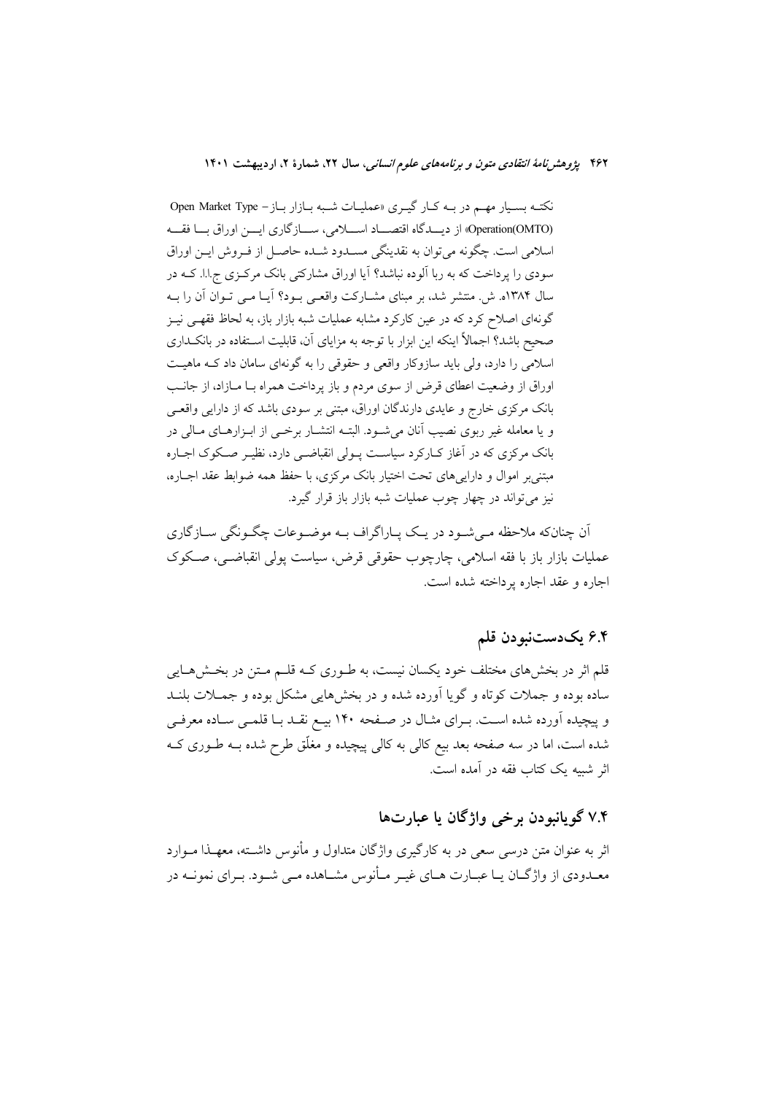نکتـه بسـيار مهـم در بـه کـار گيـري «عمليـات شـبه بـازار بـاز - Open Market Type (Operation(OMTO) از دیسدگاه اقتصـــاد اســـلامی، ســـازگاری ایـــن اوراق بـــا فقـــه اسلامی است. چگونه می توان به نقدینگی مسـدود شـده حاصـل از فـروش ایــن اوراق سودی را پرداخت که به ربا آلوده نباشد؟ آیا اوراق مشارکتی بانک مرکزی ج.ا.ا. کـه در سال ۱۳۸۴ه. ش. منتشر شد، بر مبنای مشـارکت واقعـی بـود؟ آیـا مـی تـوان آن را بـه گونهای اصلاح کرد که در عین کارکرد مشابه عملیات شبه بازار باز، به لحاظ فقهـی نیـز صحیح باشد؟ اجمالاً اینکه این ابزار با توجه به مزایای آن، قابلیت استفاده در بانک داری اسلامی را دارد، ولی باید سازوکار واقعی و حقوقی را به گونهای سامان داد ک ماهیت اوراق از وضعیت اعطای قرض از سوی مردم و باز پرداخت همراه بـا مـازاد، از جانـب بانک مرکزی خارج و عایدی دارندگان اوراق، مبتنی بر سودی باشد که از دارایی واقعے و یا معامله غیر ربوی نصیب آنان می شود. البتـه انتشـار برخـی از ابـزارهـای مـالی در بانک مرکزی که در آغاز کـارکرد سیاسـت پـولی انقباضـی دارد، نظیـر صـکوک اجـاره مبتنی بر اموال و دارایی های تحت اختیار بانک مرکزی، با حفظ همه ضوابط عقد اجباره، نیز می تواند در چهار چوب عملیات شبه بازار باز قرار گیرد.

آن چنانکه ملاحظه مـیشـود در یـک پـاراگراف بـه موضـوعات چگـونگی سـازگاری عمليات بازار باز با فقه اسلامي، چارچوب حقوقي قرض، سياست پولي انقباضـي، صـكوک اجاره و عقد اجاره برداخته شده است.

### ۶.۴ يکدستنبودن قلم

قلم اثر در بخشهای مختلف خود یکسان نیست، به طـوری کـه قلـم مـتن در بخـش۵مـایی ساده بوده و جملات کوتاه و گویا اَورده شده و در بخشهایی مشکل بوده و جمــلات بلنــد و پیچیده آورده شده اسـت. بــرای مثــال در صــفحه ۱۴۰ بیــع نقــد بــا قلمــی ســاده معرفــی شده است، اما در سه صفحه بعد بیع کالی به کالی پیچیده و مغلّق طرح شده بــه طــوری کــه اثر شبیه یک کتاب فقه در آمده است.

## ۷.۴ گويانبودن برخي واژگان يا عبارتها

اثر به عنوان متن درسی سعی در به کارگیری واژگان متداول و مأنوس داشــته، معهــذا مــوارد معـدودي از واژگــان يــا عبــارت هــاي غيــر مــأنوس مشــاهده مــي شــود. بــراي نمونــه در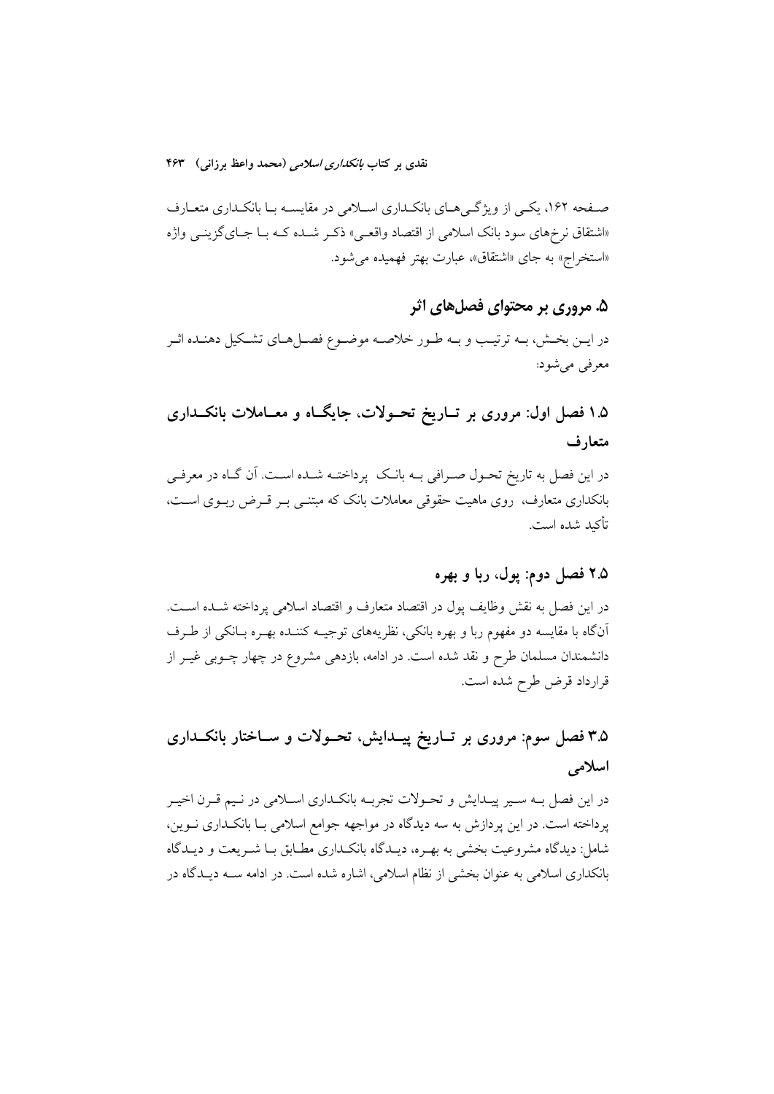صـفحه ۱۶۲، یکـی از ویژگـیهـای بانکـداری اسـلامی در مقایسـه بـا بانکـداری متعـارف «اشتقاق نرخهاي سود بانک اسلامي از اقتصاد واقعـي» ذکـر شـده کـه بـا جـايگزينــي واژه «استخراج» به جای «اشتقاق»، عبارت بهتر فهمیده می شود.

### ۵. مروری بر محتوای فصلهای اثر

در ايــن بخــش، بــه ترتيـب و بــه طــور خلاصــه موضــوع فصــلهـاي تشــكيل دهنــده اثــر معرفی میشود:

# ۱.۵ فصل اول: مروری بر تــاریخ تحــولات، جایگــاه و معــاملات بانکــداری متعارف

در این فصل به تاریخ تحـول صـرافی بــه بانــک یرداختــه شــده اســت. اّن گــاه در معرفــی بانکداری متعارف، روی ماهیت حقوقی معاملات بانک که مبتنـی بـر قـرض ربـوی اسـت، تأكيد شده است.

### ۲.۵ فصل دوم: پول، ربا و بهره

در اين فصل به نقش وظايف يول در اقتصاد متعارف و اقتصاد اسلامي پرداخته شـده اسـت. آنگاه با مقایسه دو مفهوم ربا و بهره بانکی، نظریههای توجیـه کننـده بهـره بـانکی از طـرف دانشمندان مسلمان طرح و نقد شده است. در ادامه، بازدهی مشروع در چهار چـوبی غیـر از قرارداد قرض طرح شده است.

# ۳.۵ فصل سوم: مروری بر تــاریخ پیــدایش، تحــولات و ســاختار بانکــداری اسلامی

در این فصل بــه ســیر پیــدایش و تحــولات تجربــه بانکــداری اســلامی در نــیم قــرن اخیــر پرداخته است. در این پردازش به سه دیدگاه در مواجهه جوامع اسلامی بـا بانکـداری نــوین، شامل: دیدگاه مشروعیت بخشی به بهـره، دیـدگاه بانکـداری مطـابق بـا شـریعت و دیـدگاه بانکداری اسلامی به عنوان بخشی از نظام اسلامی، اشاره شده است. در ادامه ســه دیــدگاه در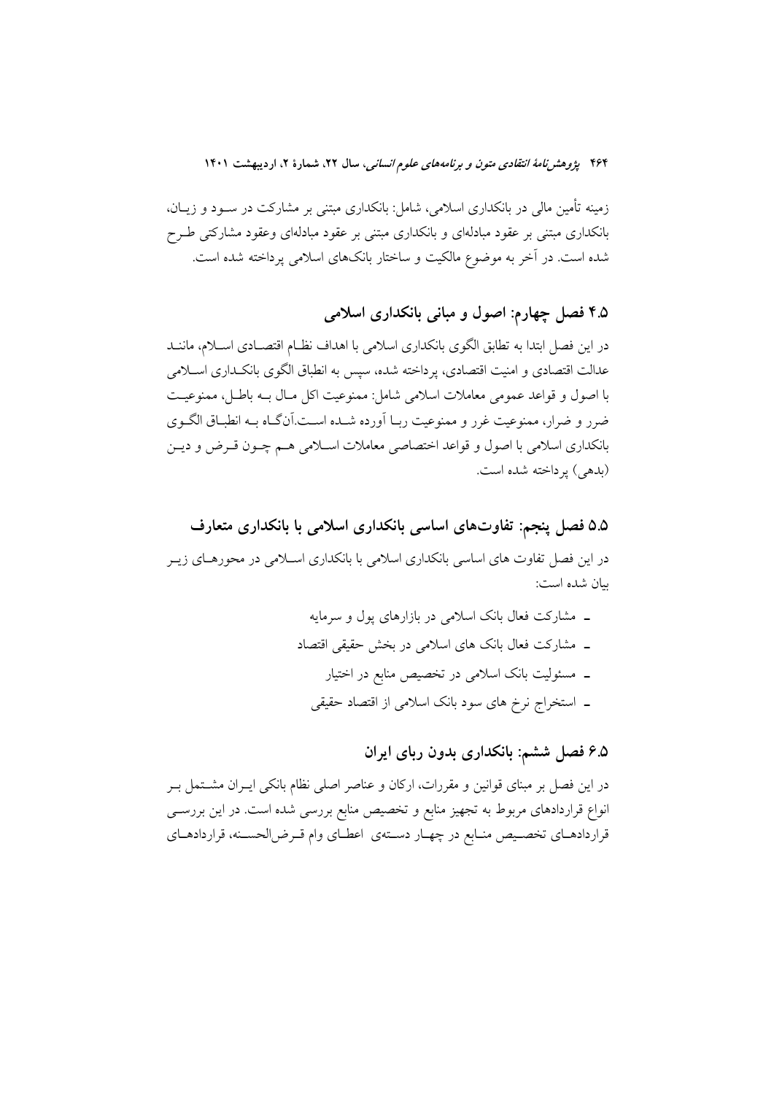زمینه تأمین مالی در بانکداری اسلامی، شامل: بانکداری مبتنی بر مشارکت در ســود و زیــان، بانکداری مبتنی بر عقود مبادلهای و بانکداری مبتنی بر عقود مبادلهای وعقود مشارکتی طـرح شده است. در آخر به موضوع مالکیت و ساختار بانکهای اسلامی پرداخته شده است.

## ۴.۵ فصل چهارم: اصول و مبانی بانکداری اسلامی

در این فصل ابتدا به تطابق الگوی بانکداری اسلامی با اهداف نظـام اقتصـادی اسـلام، ماننــد عدالت اقتصادی و امنیت اقتصادی، پرداخته شده، سپس به انطباق الگوی بانکـداری اســلامی با اصول و قواعد عمومي معاملات اسلامي شامل: ممنوعيت اكل مـال بــه باطـل، ممنوعيـت ضرر و ضرار، ممنوعیت غرر و ممنوعیت ربـا أورده شــده اســت.أنگـاه بــه انطبـاق الگــوى بانکداری اسلامی با اصول و قواعد اختصاصی معاملات اسـلامی هـم چـون قـرض و ديـن (بدهی) یر داخته شده است.

۵.۵ فصل پنجم: تفاوتهای اساسی بانکداری اسلامی با بانکداری متعارف در این فصل تفاوت های اساسی بانکداری اسلامی با بانکداری اسـلامی در محورهـای زیــر بيان شده است:

> ـ مشارکت فعال بانک اسلامی در بازارهای پول و سرمایه ـ مشاركت فعال بانك هاى اسلامى در بخش حقيقى اقتصاد ـ مسئولیت بانک اسلامی در تخصیص منابع در اختیار ۔ استخراج نرخ های سود بانک اسلامی از اقتصاد حقیقی

> > ۶.۵ فصل ششم: بانکداری بدون ربای ایران

در این فصل بر مبنای قوانین و مقررات، ارکان و عناصر اصلی نظام بانکی ایــران مشــتمل بــر انواع قراردادهای مربوط به تجهیز منابع و تخصیص منابع بررسی شده است. در این بررســی قراردادهـاي تخصـيص منـابع در چهـار دسـتهي اعطـاي وام قـرض|لحسـنه، قراردادهـاي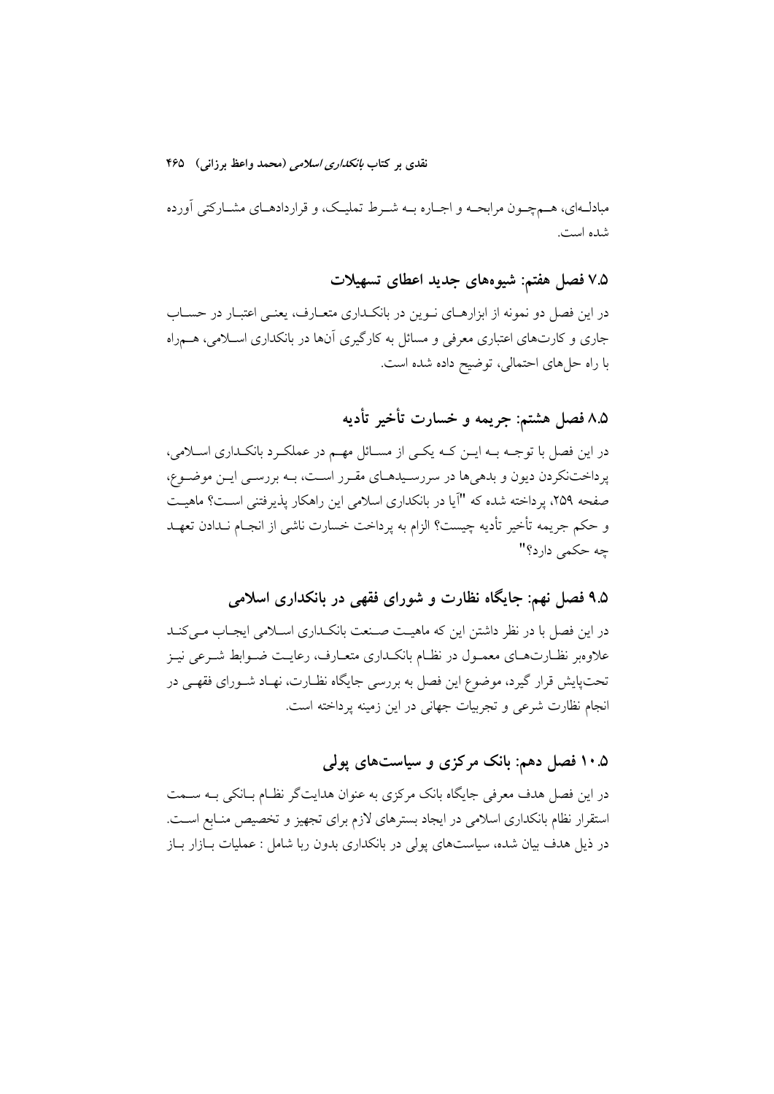مبادلـهای، هــمچــون مرابحــه و اجــاره بــه شــرط تملیــک، و قراردادهــای مشــارکتی اورده شده است.

۷.۵ فصل هفتم: شیوههای جدید اعطای تسهیلات

در این فصل دو نمونه از ابزارهــای نــوین در بانکــداری متعــارف، یعنــی اعتبــار در حســاب جاری و کارتهای اعتباری معرفی و مسائل به کارگیری انها در بانکداری اسـلامی، هــمراه با راه حلهای احتمالی، توضیح داده شده است.

۸.۵ فصل هشتم: جريمه و خسارت تأخير تأديه

در این فصل با توجــه بــه ایــن کــه یکــی از مســائل مهــم در عملکــرد بانکــداری اســلامی. پرداختنکردن دیون و بدهیها در سررسـیدهـای مقـرر اسـت، بــه بررســی ایــن موضــوع، صفحه ۲۵۹، پرداخته شده که "آیا در بانکداری اسلامی این راهکار پذیرفتنی اسـت؟ ماهیــت و حکم جریمه تاخیر تادیه چیست؟ الزام به پرداخت خسارت ناشی از انجـام نــدادن تعهــد چه حکمی دارد؟"

۹.۵ فصل نهم: جایگاه نظارت و شورای فقهی در بانکداری اسلامی

در این فصل با در نظر داشتن این که ماهیـت صـنعت بانکـداری اســلامی ایجـاب مــیکنــد علاوهبر نظـارتهــای معمــول در نظــام بانکــداری متعــارف، رعایــت ضــوابط شــرعی نیــز تحتپایش قرار گیرد، موضوع این فصل به بررسی جایگاه نظـارت، نهـاد شــورای فقهــی در نجام نظارت شرعی و تجربیات جهانی در این زمینه پرداخته است.

۱۰.۵ فصل دهم: بانک مرکزی و سیاستهای پول*ی* 

در این فصل هدف معرفی جایگاه بانک مرکزی به عنوان هدایتگر نظـام بــانکی بــه ســمت استقرار نظام بانکداری اسلامی در ایجاد بسترهای لازم برای تجهیز و تخصیص منـابع اســت. در ذیل هدف بیان شده، سیاستهای پولی در بانکداری بدون ربا شامل : عملیات بــازار بــاز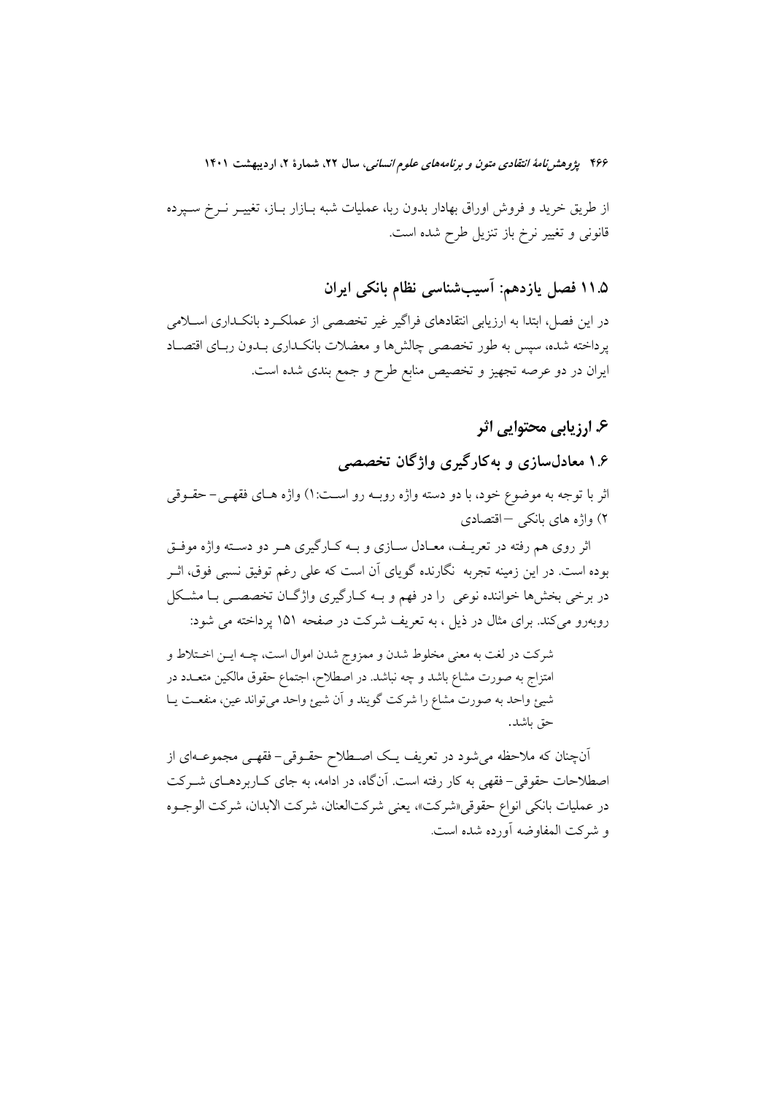از طریق خرید و فروش اوراق بهادار بدون ربا، عملیات شبه بـازار بــاز، تغییــر نــرخ ســپرده قانونی و تغییر نرخ باز تنزیل طرح شده است.

۱۱.۵ فصل یازدهم: آسیبشناسی نظام بانکی ایران

در این فصل، ابتدا به ارزیابی انتقادهای فراگیر غیر تخصصی از عملکرد بانکداری اسـلامی پرداخته شده، سپس به طور تخصصی چالشها و معضلات بانکـداری بــدون ربــای اقتصــاد ایران در دو عرصه تجهیز و تخصیص منابع طرح و جمع بندی شده است.

## ۶. ارزیابی محتوایی اثر

۱.۶ معادلسازی و بهکارگیری واژگان تخصصه

اثر با توجه به موضوع خود، با دو دسته واژه روبــه رو اســت:۱) واژه هــای فقهــی– حقــوقی ۲) واژه های بانکی –اقتصادی

اثر روی هم رفته در تعریـف، معـادل سـازی و بـه کـارگیری هـر دو دسـته واژه موفـق بوده است. در این زمینه تجربه نگارنده گویای آن است که علی رغم توفیق نسبی فوق، اثـر در برخی بخشها خواننده نوعی را در فهم و بـه کـارگیری واژگـان تخصصـی بـا مشـکل روبهرو میکند. برای مثال در ذیل ، به تعریف شرکت در صفحه ۱۵۱ پرداخته می شود:

شرکت در لغت به معنی مخلوط شدن و ممزوج شدن اموال است، چــه ایــن اخــتلاط و امتزاج به صورت مشاع باشد و چه نباشد. در اصطلاح، اجتماع حقوق مالکین متعــدد در شیئ واحد به صورت مشاع را شرکت گویند و آن شیئ واحد میتواند عین، منفعت یـا حق باشد.

آنچنان که ملاحظه میشود در تعریف یـک اصـطلاح حقـوقی- فقهـی مجموعــهای از اصطلاحات حقوقی-فقهی به کار رفته است. آنگاه، در ادامه، به جای کـاربردهـای شــرکت در عمليات بانكي انواع حقوقي «شركت»، يعني شركتالعنان، شركت الابدان، شركت الوجـوه و شركت المفاوضه أورده شده است.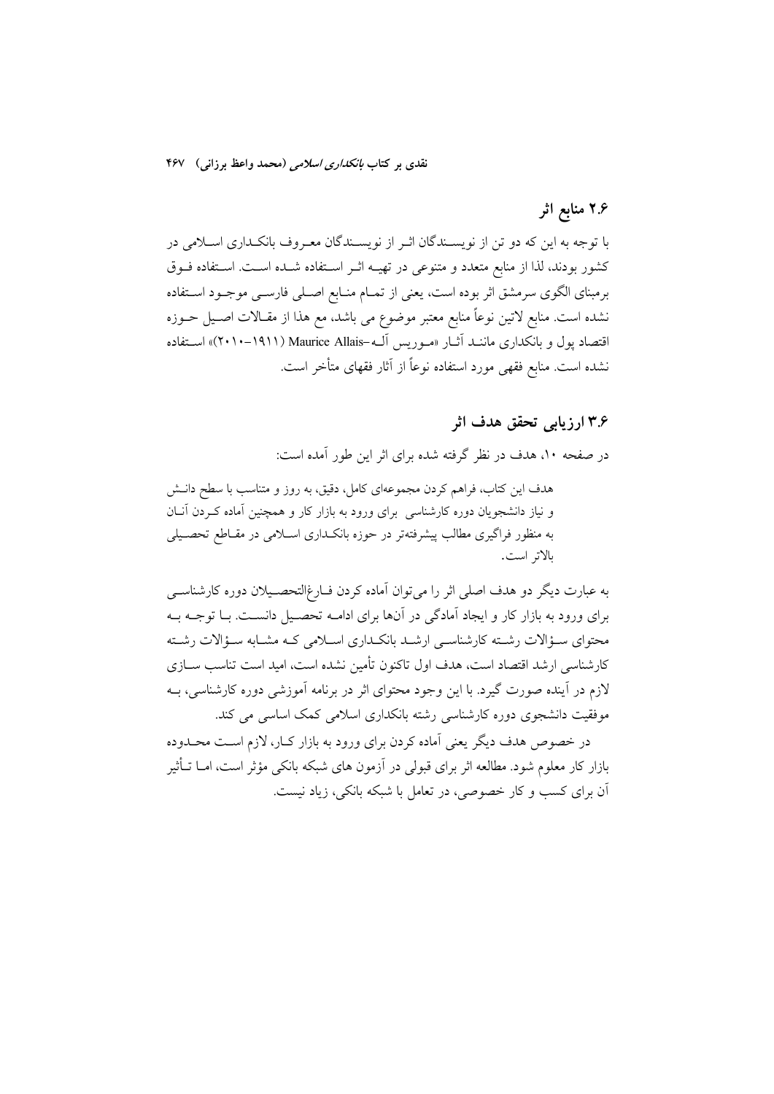## ۲.۶ منابع اثر

با توجه به این که دو تن از نویسـندگان اثـر از نویسـندگان معـروف بانکـداری اسـلامی در كشور بودند، لذا از منابع متعدد و متنوعي در تهيـه اثـر اسـتفاده شـده اسـت. اسـتفاده فــوق برمبنای الگوی سرمشق اثر بوده است، یعنی از تمــام منــابع اصــلی فارســی موجــود اســتفاده نشده است. منابع لاتین نوعاً منابع معتبر موضوع می باشد، مع هذا از مقــالات اصــیل حــوزه اقتصاد پول و بانکداری ماننـد آثـار «مـوریس آلـه-Maurice Allais (۲۰۱۱–۱۹۱۱)» اسـتفاده نشده است. منابع فقهی مورد استفاده نوعاً از آثار فقهای متأخر است.

### ۳.۶ ارزیابی تحقق هدف اثر

در صفحه ۱۰، هدف در نظر گرفته شده برای اثر این طور آمده است:

هدف این کتاب، فراهم کردن مجموعهای کامل، دقیق، به روز و متناسب با سطح دانــش و نیاز دانشجویان دوره کارشناسی برای ورود به بازار کار و همچنین آماده کـردن آنـان به منظور فراگیری مطالب پیشرفتهتر در حوزه بانکـداری اسـلامی در مقـاطع تحصـیلی بالاتر است.

به عبارت دیگر دو هدف اصلی اثر را می توان آماده کردن فـارغ|لتحصـیلان دوره کارشناسـی برای ورود به بازار کار و ایجاد آمادگی در آنها برای ادامـه تحصـیل دانسـت. بـا توجـه بـه محتواي سـؤالات رشـته كارشناسـي ارشـد بانكـداري اسـلامي كـه مشـابه سـؤالات رشـته کارشناسی ارشد اقتصاد است، هدف اول تاکنون تأمین نشده است، امید است تناسب ســازی لازم در آینده صورت گیرد. با این وجود محتوای اثر در برنامه آموزشی دوره کارشناسی، بـه موفقیت دانشجوی دوره کارشناسی رشته بانکداری اسلامی کمک اساسی می کند.

در خصوص هدف دیگر یعنی آماده کردن برای ورود به بازار کـار، لازم اسـت محـدوده بازار کار معلوم شود. مطالعه اثر برای قبولی در آزمون های شبکه بانکی مؤثر است، امــا تــأثير آن برای کسب و کار خصوصی، در تعامل با شبکه بانکی، زیاد نیست.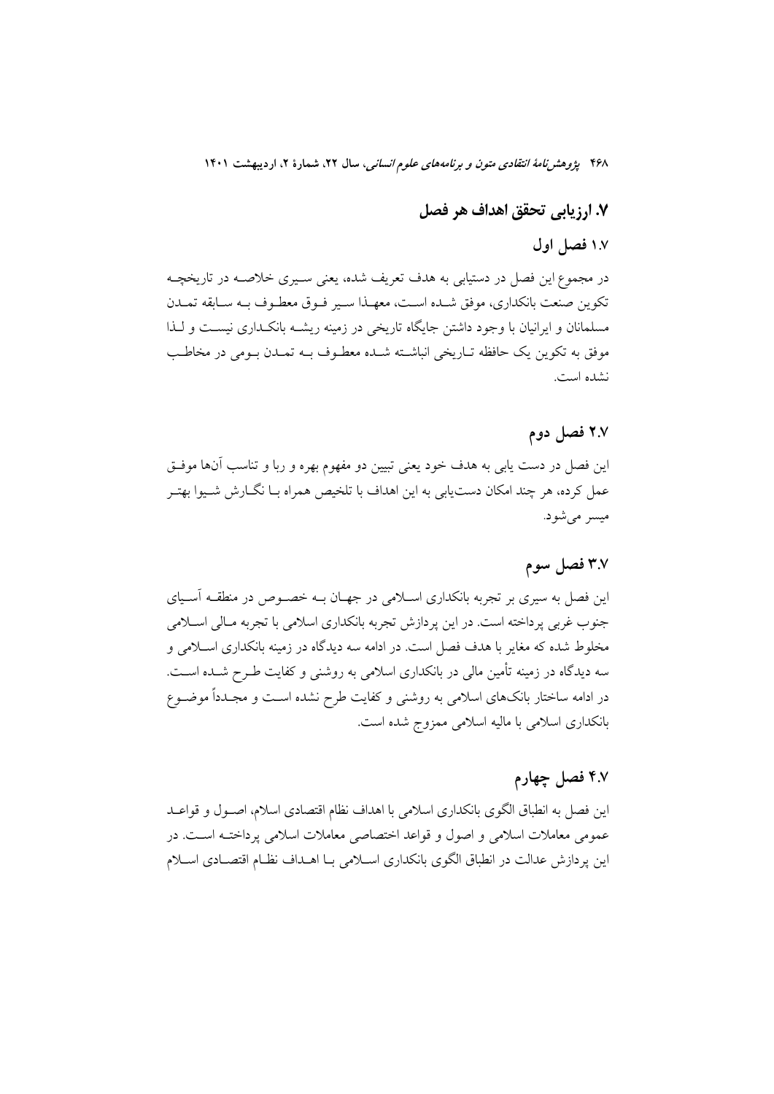## ٧. ارزيابي تحقق اهداف هر فصل

### ١.٧ فصل اول

در مجموع این فصل در دستیابی به هدف تعریف شده، یعنی سـیری خلاصـه در تاریخچـه تكوين صنعت بانكداري، موفق شـده اسـت، معهـذا سـير فـوق معطـوف بـه سـابقه تمـدن مسلمانان و ایرانیان با وجود داشتن جایگاه تاریخی در زمینه ریشـه بانکـداری نیسـت و لـذا موفق به تكوين يك حافظه تـاريخي انباشـته شـده معطـوف بــه تمــدن بــومي در مخاطـب نشده است.

### ٢.٧ فصل دوم

این فصل در دست یابی به هدف خود یعنی تبیین دو مفهوم بهره و ربا و تناسب آنها موفـق عمل كرده، هر چند امكان دستيابي به اين اهداف با تلخيص همراه بـا نگــارش شــيوا بهتــر ميسر مي شود.

## ٣.٧ فصل سوم

این فصل به سیری بر تجربه بانکداری اسـلامی در جهـان بــه خصــوص در منطقــه آســیای جنوب غربي پرداخته است. در اين پردازش تجربه بانكداري اسلامي با تجربه مـالي اسـلامي مخلوط شده که مغایر با هدف فصل است. در ادامه سه دیدگاه در زمینه بانکداری اسلامی و سه دیدگاه در زمینه تأمین مالی در بانکداری اسلامی به روشنی و کفایت طـرح شــده اســت. در ادامه ساختار بانکهای اسلامی به روشنی و کفایت طرح نشده اسـت و مجـدداً موضــوع بانکداری اسلامی با مالیه اسلامی ممزوج شده است.

## ۴.۷ فصل چهارم

این فصل به انطباق الگوی بانکداری اسلامی با اهداف نظام اقتصادی اسلام، اصـول و قواعــد عمومی معاملات اسلامی و اصول و قواعد اختصاصی معاملات اسلامی پرداختـه اسـت. در این پردازش عدالت در انطباق الگوی بانکداری اسـلامی بـا اهـداف نظـام اقتصـادی اسـلام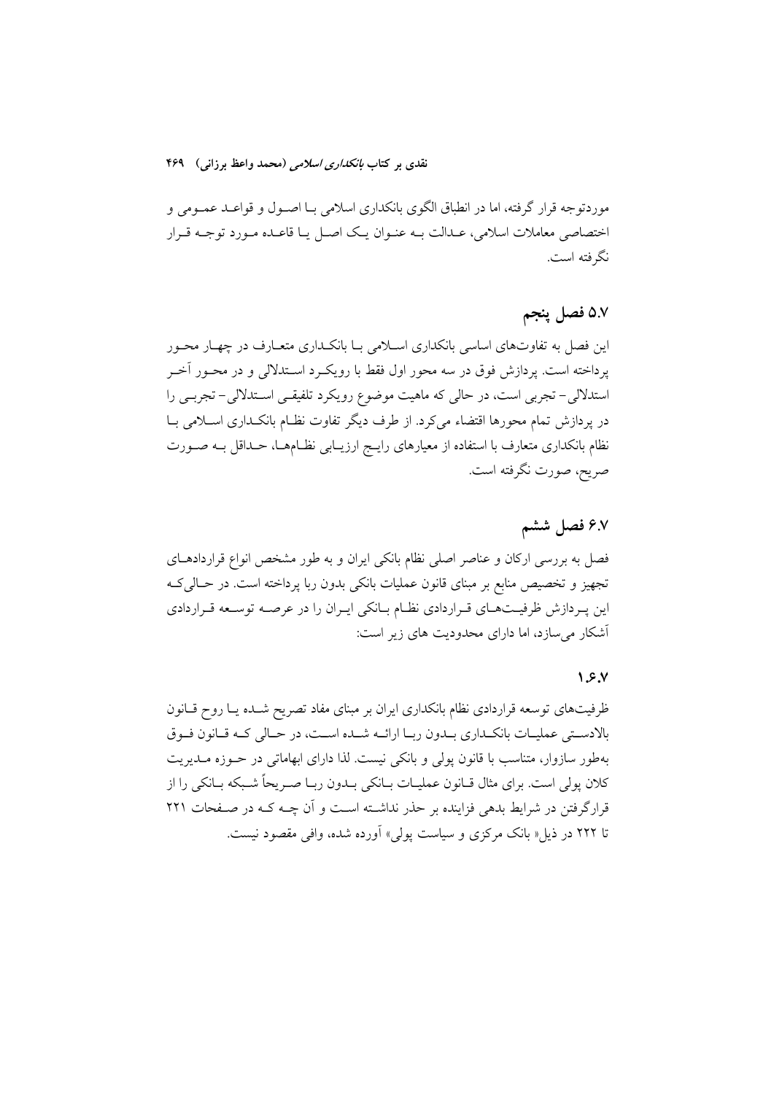موردتوجه قرار گرفته، اما در انطباق الگوی بانکداری اسلامی بــا اصــول و قواعــد عمــومی و ختصاصی معاملات اسلامی، عــدالت بــه عنــوان یــک اصــل یــا قاعــده مــورد توجــه قــرار نگر فته است.

### ۵.۷ فصل پنجم

ین فصل به تفاوتهای اساسی بانکداری اســلامی بــا بانکــداری متعــارف در چهــار محــور پرداخته است. پردازش فوق در سه محور اول فقط با رویکـرد اســتدلالی و در محــور اخــر 'ستدلالی– تجربی است، در حالی که ماهیت موضوع رویکرد تلفیقـی اســتدلالی– تجربــی را در پردازش تمام محورها اقتضاء میکرد. از طرف دیگر تفاوت نظـام بانکــداری اســلامی بــا نظام بانکداری متعارف با استفاده از معیارهای رایــج ارزیــابی نظــامهــا، حــداقل بــه صــورت صريح، صورت نگرفته است.

### **V"- H[ 6.7**

فصل به بررسی ارکان و عناصر اصلی نظام بانکی ایران و به طور مشخص انواع قراردادهــای تجهیز و تخصیص منابع بر مبنای قانون عملیات بانکی بدون ربا پرداخته است. در حــالی6کــه ین پـردازش ظرفیــتهــای قــراردادی نظــام بــانکی ایــران را در عرصــه توســعه قــراردادی اشکار م<sub>ی</sub>سازد، اما دارای محدودیت های زیر است:

#### **1.6.7**

ظرفیتهای توسعه قراردادی نظام بانکداری ایران بر مبنای مفاد تصریح شـده یـا روح قـانون بالادســتي عمليــات بانكــداري بــدون ربــا ارائــه شــده اســت، در حــالي كــه قــانون فــوق بهطور سازوار، متناسب با قانون پولی و بانکی نیست. لذا دارای ابهاماتی در حــوزه مــدیریت کلان پولی است. برای مثال قــانون عملیــات بــانکی بــدون ربــا صــریحا شــبکه بــانکی را از قرارگرفتن در شرایط بدهی فزاینده بر حذر نداشــته اســت و ان چــه کــه در صــفحات ۲۲۱ نا ۲۲۲ در ذیل« بانک مرکزی و سیاست پولی» اورده شده، وافی مقصود نیست.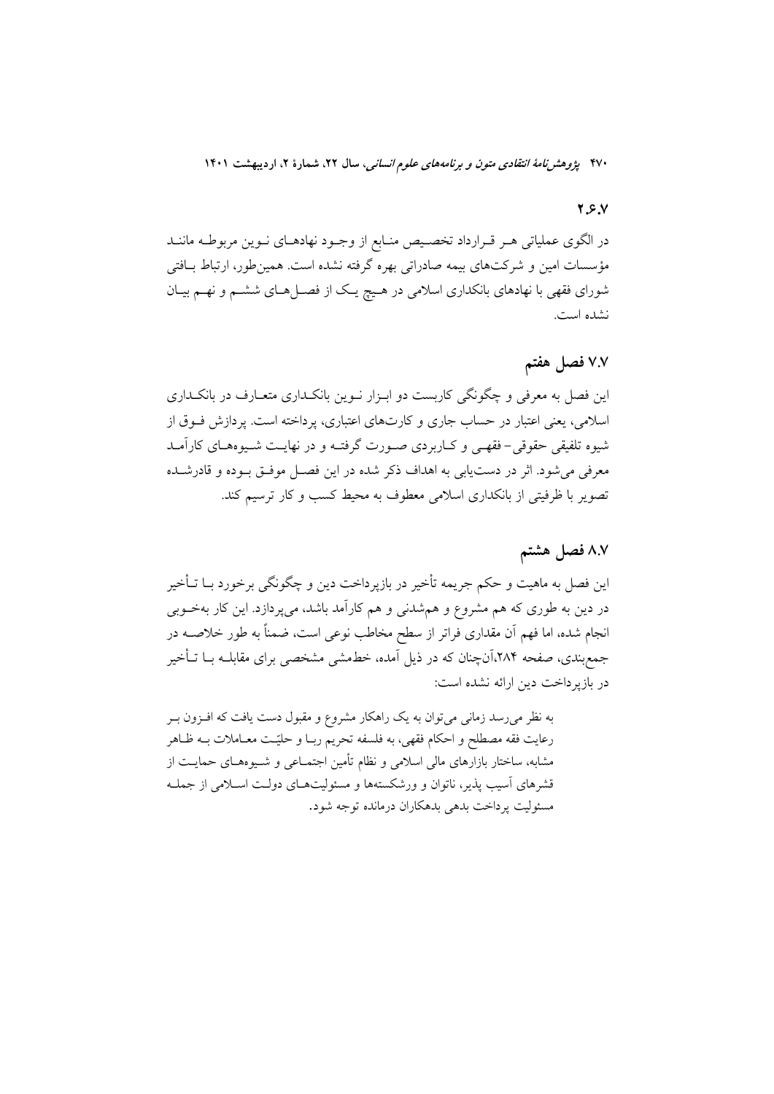#### $Y.S.V$

در الگوی عملیاتی هـر قـرارداد تخصـیص منـابع از وجـود نهادهـای نـوین مربوطـه ماننـد مؤسسات امین و شرکتهای بیمه صادراتی بهره گرفته نشده است. همینطور، ارتباط بـافتی شورای فقهی با نهادهای بانکداری اسلامی در هیچ یک از فصـلهـای ششـم و نهـم بیـان نشده است.

### ٧.٧ فصل هفتم

این فصل به معرفی و چگونگی کاربست دو ابـزار نــوین بانکــداری متعــارف در بانکــداری اسلامی، یعنی اعتبار در حساب جاری و کارتهای اعتباری، پرداخته است. پردازش فسوق از شیوه تلفیقی حقوقی-فقهـی و کـاربردی صـورت گرفتـه و در نهایـت شـیوههـای کارآمـد معرفي مي شود. اثر در دست يابي به اهداف ذكر شده در اين فصـل موفـق بــوده و قادرشــده تصویر با ظرفیتی از بانکداری اسلامی معطوف به محیط کسب و کار ترسیم کند.

### ٨.٧ فصل هشتم

این فصل به ماهیت و حکم جریمه تأخیر در بازپرداخت دین و چگونگی برخورد بــا تــأخیر در دین به طوری که هم مشروع و همشدنی و هم کارآمد باشد، میپردازد. این کار بهخــوبی انجام شده، اما فهم آن مقداری فراتر از سطح مخاطب نوعی است، ضمناً به طور خلاصــه در جمع بندی، صفحه ۲۸۴،آنچنان که در ذیل آمده، خطمشی مشخصی برای مقابلـه بــا تــأخیر در بازپرداخت دین ارائه نشده است:

به نظر می رسد زمانی می توان به یک راهکار مشروع و مقبول دست یافت که اف زون بـر رعايت فقه مصطلح و احكام فقهي، به فلسفه تحريم ربـا و حليّـت معــاملات بــه ظــاهر مشابه، ساختار بازارهای مالی اسلامی و نظام تأمین اجتمــاعی و شــیوههــای حمایــت از قشرهای آسیب پذیر، ناتوان و ورشکستهها و مسئولیتهای دولت اسـلامی از جملـه مسئوليت يرداخت بدهي بدهكاران درمانده توجه شود.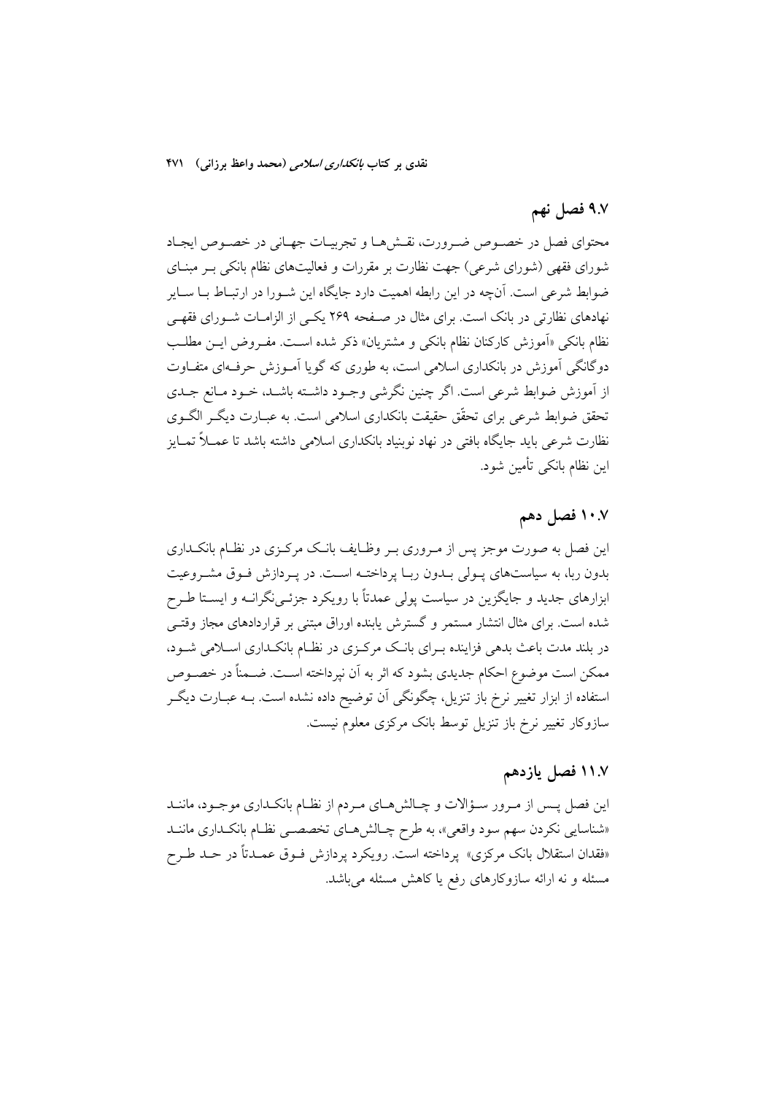## ۹.۷ فصل نهم

محتواي فصل در خصوص ضرورت، نقشها و تجربيـات جهـاني در خصـوص ايجـاد شورای فقهی (شورای شرعی) جهت نظارت بر مقررات و فعالیتهای نظام بانکی بـر مبنـای ضوابط شرعی است. آنچه در این رابطه اهمیت دارد جایگاه این شـورا در ارتبـاط بــا ســایر نهادهای نظارتی در بانک است. برای مثال در صـفحه ۲۶۹ یکـی از الزامـات شـورای فقهـی نظام بانکی «اَموزش کارکنان نظام بانکی و مشتریان» ذکر شده است. مفـروض ایـن مطلـب دوگانگی آموزش در بانکداری اسلامی است، به طوری که گویا آمـوزش حرفـهای متفـاوت از آموزش ضوابط شرعی است. اگر چنین نگرشی وجبود داشته باشـد، خبود مـانع جـدی تحقق ضوابط شرعی برای تحقّق حقیقت بانکداری اسلامی است. به عبــارت دیگــر الگــوی نظارت شرعی باید جایگاه بافتی در نهاد نوبنیاد بانکداری اسلامی داشته باشد تا عمــلاً تمــایز اين نظام بانكي تأمين شود.

### ۰۰.۷ فصل دهم

این فصل به صورت موجز پس از مـروری بـر وظـایف بانـک مرکـزی در نظـام بانکـداری بدون ربا، به سیاستهای پـولی بـدون ربـا پرداختـه اسـت. در پـردازش فـوق مشـروعیت ابزارهای جدید و جایگزین در سیاست پولی عمدتاً با رویکرد جزئـی&رانــه و ایســتا طــرح شده است. برای مثال انتشار مستمر و گسترش یابنده اوراق مبتنی بر قراردادهای مجاز وقتـی در بلند مدت باعث بدهی فزاینده بـرای بانـک مرکـزی در نظـام بانکـداری اسـلامی شـود، ممکن است موضوع احکام جدیدی بشود که اثر به آن نپرداخته اسـت. ضـمناً در خصــوص استفاده از ابزار تغییر نرخ باز تنزیل، چگونگی آن توضیح داده نشده است. بــه عبــارت دیگــر سازوکار تغییر نرخ باز تنزیل توسط بانک مرکزی معلوم نیست.

### ۱۱.۷ فصل یازدهم

این فصل پــس از مـرور ســؤالات و چــالش9مــاي مـردم از نظــام بانكــداري موجــود، ماننــد «شناسایی نکردن سهم سود واقعی»، به طرح چـالش۱صای تخصصـی نظـام بانکـداری ماننـد «فقدان استقلال بانک مرکزی» پرداخته است. رویکرد پردازش فـوق عمـدتاً در حـد طـرح مسئله و نه ارائه سازوكارهاى رفع يا كاهش مسئله مى باشد.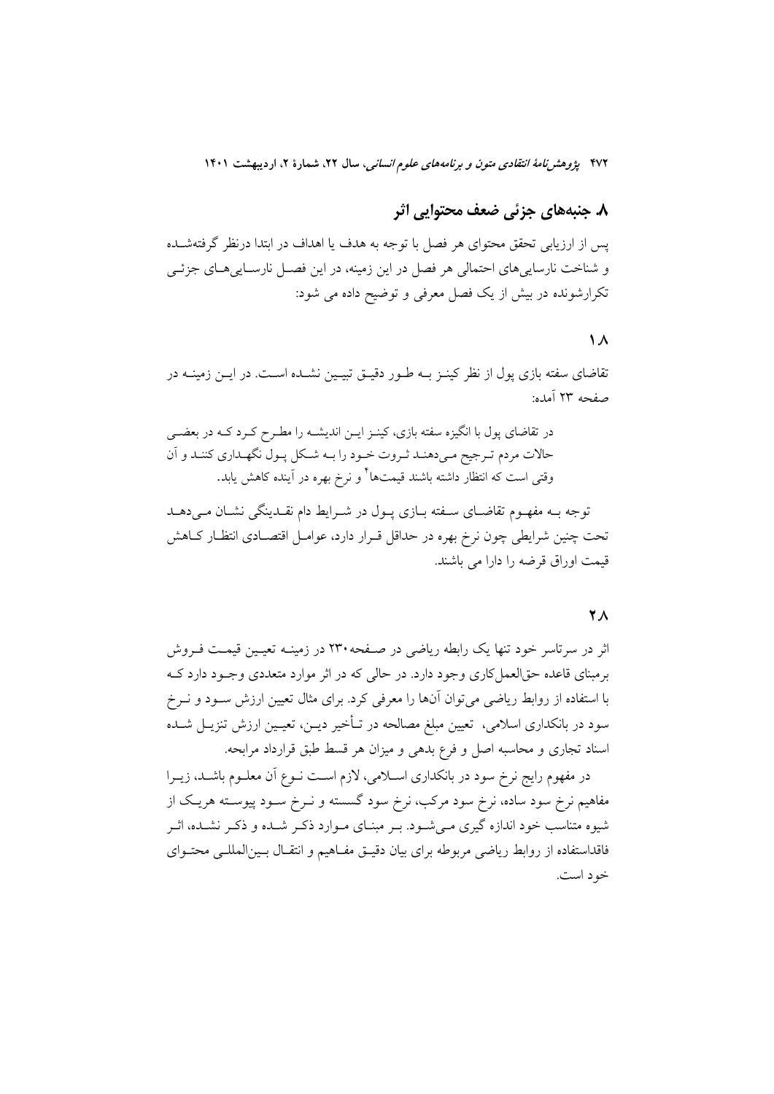## ٨. جنبههاي جزئي ضعف محتوايي اثر

يس از ارزيابي تحقق محتواي هر فصل با توجه به هدف يا اهداف در ابتدا درنظر گرفتهشــده و شناخت نارساییهای احتمالی هر فصل در این زمینه، در این فصـل نارسـاییهـای جزئـی تکرارشونده در بیش از یک فصل معرفی و توضیح داده می شود:

#### $\Lambda$

تقاضای سفته بازی پول از نظر کینـز بــه طــور دقیــق تبیــین نشــده اســت. در ایــن زمینــه در صفحه ٢٣ آمده:

در تقاضای پول با انگیزه سفته بازی، کینـز ایــن اندیشــه را مطـرح کــرد کــه در بعضــی حالات مردم تـرجيح مـىدهنـد ثـروت خـود را بـه شـكل پـول نگهـدارى كننـد و آن وقتی است که انتظار داشته باشند قیمتها<sup>۴</sup> و نرخ بهره در آینده کاهش یابد.

توجه بــه مفهــوم تقاضــاي ســفته بــازي پــول در شــرايط دام نقــدينگي نشــان مــي،دهــد تحت چنین شرایطی چون نرخ بهره در حداقل قـرار دارد، عوامـل اقتصـادی انتظـار کــاهش قیمت اوراق قرضه را دارا می باشند.

#### **YA**

اثر در سرتاسر خود تنها یک رابطه ریاضی در صـفحه ۲۳۰ در زمینــه تعیــین قیمـت فــروش برمبنای قاعده حقالعملکاری وجود دارد. در حالی که در اثر موارد متعددی وجـود دارد کــه با استفاده از روابط ریاضی میتوان آنها را معرفی کرد. برای مثال تعیین ارزش سـود و نـرخ سود در بانکداری اسلامی، تعیین مبلغ مصالحه در تــأخیر دیــن، تعیــین ارزش تنزیــل شــده اسناد تجاری و محاسبه اصل و فرع بدهی و میزان هر قسط طبق قرارداد مرابحه.

در مفهوم رایج نرخ سود در بانکداری اسـلامی، لازم اسـت نــوع آن معلــوم باشــد، زیــرا مفاهیم نرخ سود ساده، نرخ سود مرکب، نرخ سود گسسته و نــرخ ســود پیوســته هریــک از شیوه متناسب خود اندازه گیری مـی شـود. بـر مبنـای مـوارد ذکـر شـده و ذکـر نشـده، اثـر فاقداستفاده از روابط رياضي مربوطه براي بيان دقيــق مفــاهيم و انتقــال بــينالمللــي محتــواي خود است.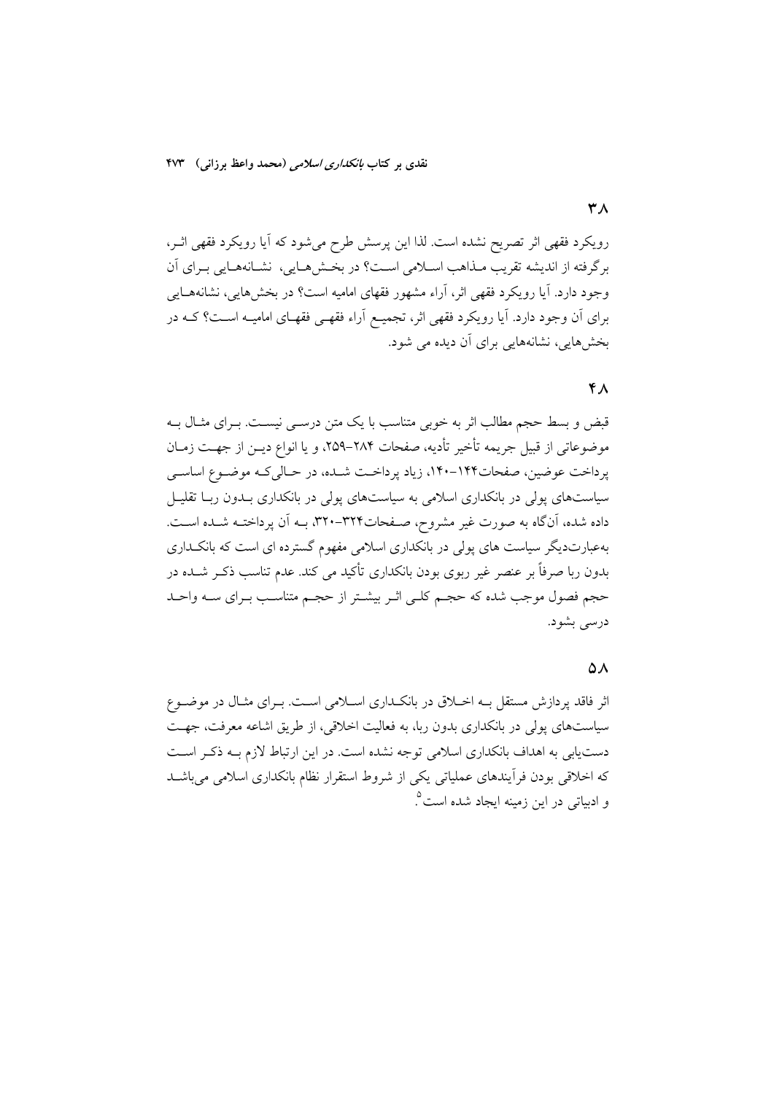رویکرد فقهی اثر تصریح نشده است. لذا این پرسش طرح میشود که آیا رویکرد فقهی اثـر، برگرفته از انديشه تقريب مـذاهب اسـلامي اسـت؟ در بخـش١مـايي، نشـانههـايي بـراي آن وجود دارد. آیا رویکرد فقهی اثر، آراء مشهور فقهای امامیه است؟ در بخشهایی، نشانههـایی

بخش هایی، نشانههایی برای آن دیده می شود.

#### $Y_A$

قبض و بسط حجم مطالب اثر به خوبی متناسب با یک متن درســی نیسـت. بــرای مثــال بــه موضوعاتي از قبيل جريمه تأخير تأديه، صفحات ٢٨۴–٢٥٩، و يا انواع ديــز از جهــت زمــان پرداخت عوضین، صفحات۱۴۴-۱۴۰، زیاد پرداخت شده، در حـالی کـه موضـوع اساسـی سیاستهای یولی در بانکداری اسلامی به سیاستهای پولی در بانکداری بـدون ربـا تقلیـل داده شده، آنگاه به صورت غیر مشروح، صفحات۳۲۴-۳۲۰، بـه آن پرداختـه شـده اسـت. بهعبارتدیگر سیاست های یولی در بانکداری اسلامی مفهوم گسترده ای است که بانکـداری بدون ربا صرفاً بر عنصر غیر ربوی بودن بانکداری تأکید می کند. عدم تناسب ذکـر شــده در حجم فصول موجب شده که حجـم کلـي اثـر بيشـتر از حجـم متناسـب بـراي سـه واحـد درسی بشود.

برای آن وجود دارد. آیا رویکرد فقهی اثر، تجمیـع آراء فقهـی فقهـای امامیــه اســت؟ کــه در

#### $\Delta \lambda$

اثر فاقد پردازش مستقل بــه اخــلاق در بانکــداری اســلامی اســت. بــرای مثــال در موضــوع سیاستهای پولی در بانکداری بدون ربا، به فعالیت اخلاقی، از طریق اشاعه معرفت، جهت دست یابی به اهداف بانکداری اسلامی توجه نشده است. در این ارتباط لازم بـه ذکـر اسـت که اخلاقی بودن فرآیندهای عملیاتی یکی از شروط استقرار نظام بانکداری اسلامی میباشــد و ادبیاتی در این زمینه ایجاد شده است<sup>0</sup>.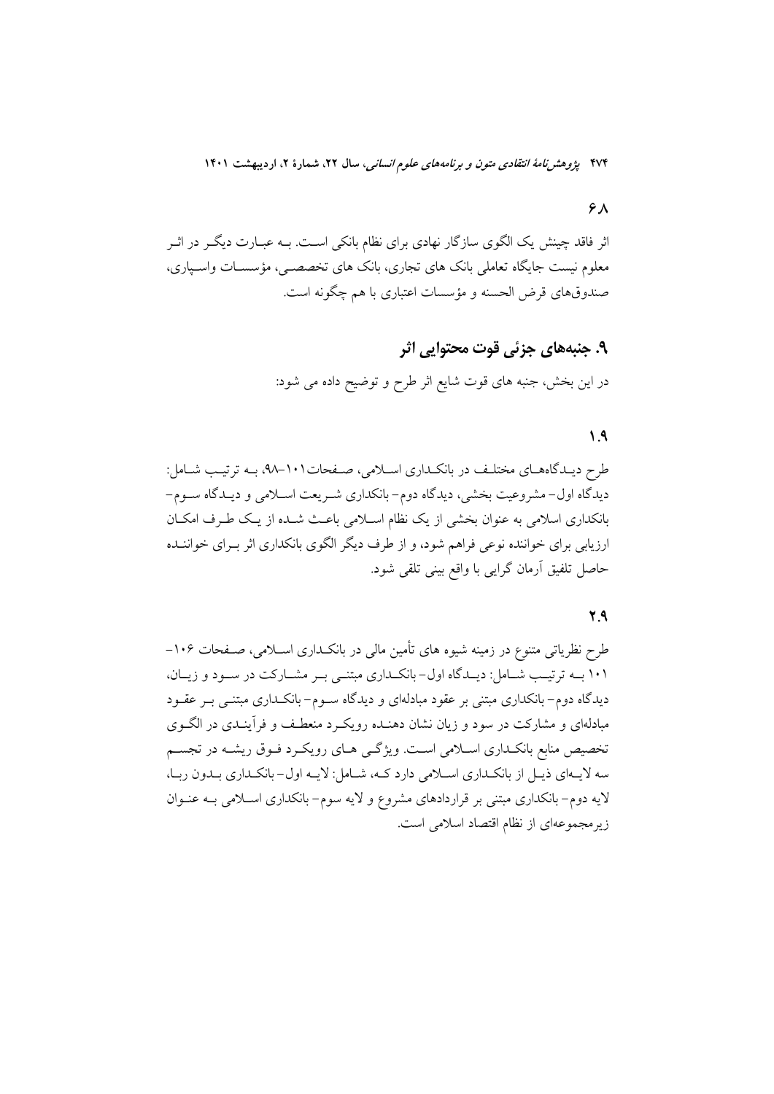#### $6\lambda$

اثر فاقد چینش یک الگوی سازگار نهادی برای نظام بانکی است. بـه عبــارت دیگــر در اثــر معلوم نیست جایگاه تعاملی بانک های تجاری، بانک های تخصصـی، مؤسسـات واسـپاری، صندوقهای قرض الحسنه و مؤسسات اعتباری با هم چگونه است.

# ۹. جنبههای جزئی قوت محتوایی اثر در این بخش، جنبه های قوت شایع اثر طرح و توضیح داده می شود:

### $\Lambda$

طرح دیـدگاههـای مختلـف در بانکـداری اسـلامی، صـفحات١٠١-٩٨. بـه ترتیـب شـامل: دیدگاه اول-مشروعیت بخشی، دیدگاه دوم-بانکداری شـریعت اسـلامی و دیـدگاه سـوم-بانکداری اسلامی به عنوان بخشی از یک نظام اسـلامی باعـث شـده از یـک طـرف امکـان ارزیابی برای خواننده نوعی فراهم شود، و از طرف دیگر الگوی بانکداری اثر بـرای خواننــده حاصل تلفيق آرمان گرايي با واقع بيني تلقي شود.

#### $Y.9$

طرح نظریاتی متنوع در زمینه شیوه های تأمین مالی در بانکـداری اســلامی، صــفحات ۱۰۶– ۱۰۱ بــه ترتیــب شــامل: دیــدگاه اول-بانکــداری مبتنــی بــر مشــارکت در ســود و زیــان، دیدگاه دوم– بانکداری مبتنی بر عقود مبادلهای و دیدگاه سـوم– بانکــداری مبتنــی بــر عقــود مبادلهای و مشارکت در سود و زیان نشان دهنـده رویکـرد منعطـف و فرآینـدی در الگــوی تخصیص منابع بانکـداری اسـلامی اسـت. ویژگـی هـای رویکـرد فـوق ریشـه در تجسـم سه لایــهای ذیــل از بانکــداری اســلامی دارد کــه، شــامل: لایــه اول- بانکــداری بــدون ربــا، لایه دوم-بانکداری مبتنی بر قراردادهای مشروع و لایه سوم-بانکداری اسلامی بـه عنـوان زیرمجموعهای از نظام اقتصاد اسلامی است.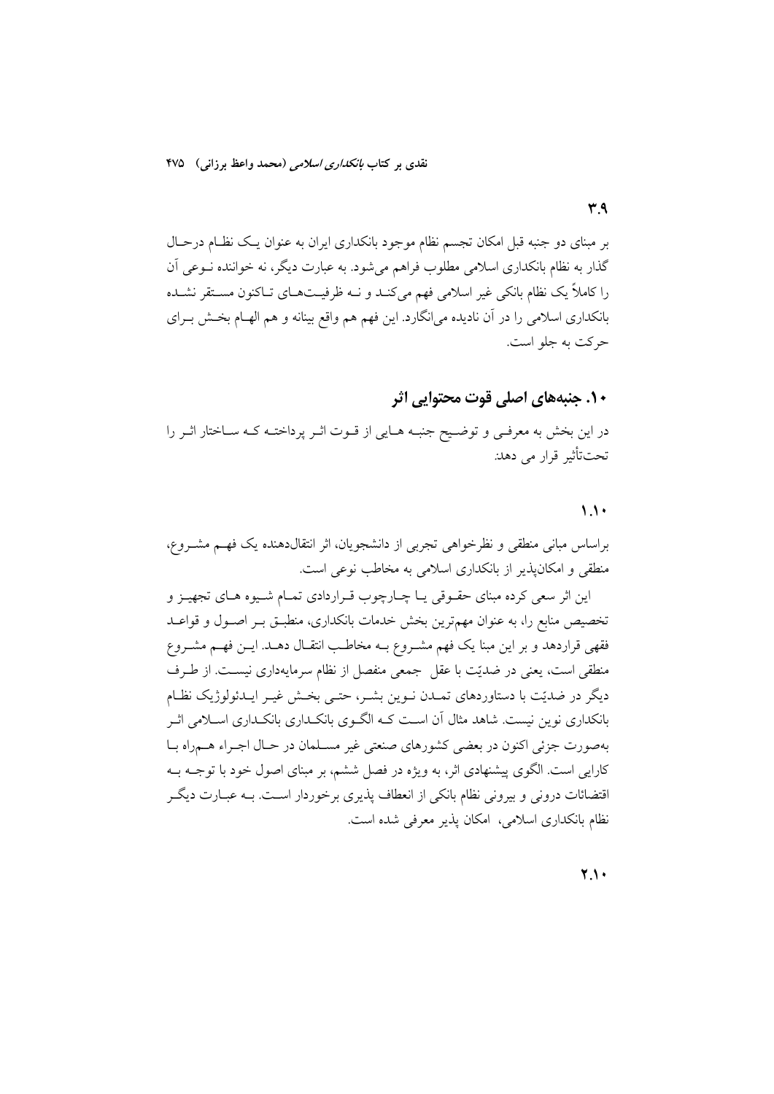۳٩

بر مبنای دو جنبه قبل امکان تجسم نظام موجود بانکداری ایران به عنوان یک نظـام درحـال گذار به نظام بانکداری اسلامی مطلوب فراهم می شود. به عبارت دیگر، نه خواننده نـوعی آن را کاملاً یک نظام بانکی غیر اسلامی فهم میکنـد و نــه ظرفیــتهــای تــاکنون مســتقر نشــده بانکداری اسلامی را در آن نادیده میانگارد. این فهم هم واقع بینانه و هم الهـام بخــش بــرای حرکت به جلو است.

### ۱۰. جنبههای اصلی قوت محتوایی اثر

در این بخش به معرفـی و توضـیح جنبـه هـایی از قـوت اثـر پرداختـه کـه سـاختار اثـر را تحت تأثير قرار مي دهد.

#### $\lambda$

براساس مبانی منطقی و نظرخواهی تجربی از دانشجویان، اثر انتقالدهنده یک فهـم مشــروع، منطقی و امکان پذیر از بانکداری اسلامی به مخاطب نوعی است.

این اثر سعی کرده مبنای حقـوقی یـا چـارچوب قـراردادی تمـام شـیوه هـای تجهیـز و تخصیص منابع را، به عنوان مهمترین بخش خدمات بانکداری، منطبـق بـر اصـول و قواعـد فقهی قراردهد و بر این مبنا یک فهم مشـروع بــه مخاطـب انتقــال دهــد. ایــن فهــم مشــروع منطقی است، یعنی در ضدیّت با عقل جمعی منفصل از نظام سرمایهداری نیست. از طـرف دیگر در ضدیّت با دستاوردهای تمـدن نـوین بشـر، حتـی بخـش غیـر ایـدئولوژیک نظـام بانکداری نوین نیست. شاهد مثال آن اسـت کـه الگـوی بانکـداری بانکـداری اســلامی اثــر بهصورت جزئي اكنون در بعضي كشورهاي صنعتي غير مسـلمان در حـال اجـراء هــمراه بــا کارایی است. الگوی پیشنهادی اثر، به ویژه در فصل ششم، بر مبنای اصول خود با توجــه بــه اقتضائات درونی و بیرونی نظام بانکی از انعطاف پذیری برخوردار است. بـه عبــارت دیگــر نظام بانکداری اسلامی، امکان پذیر معرفی شده است.

 $Y.$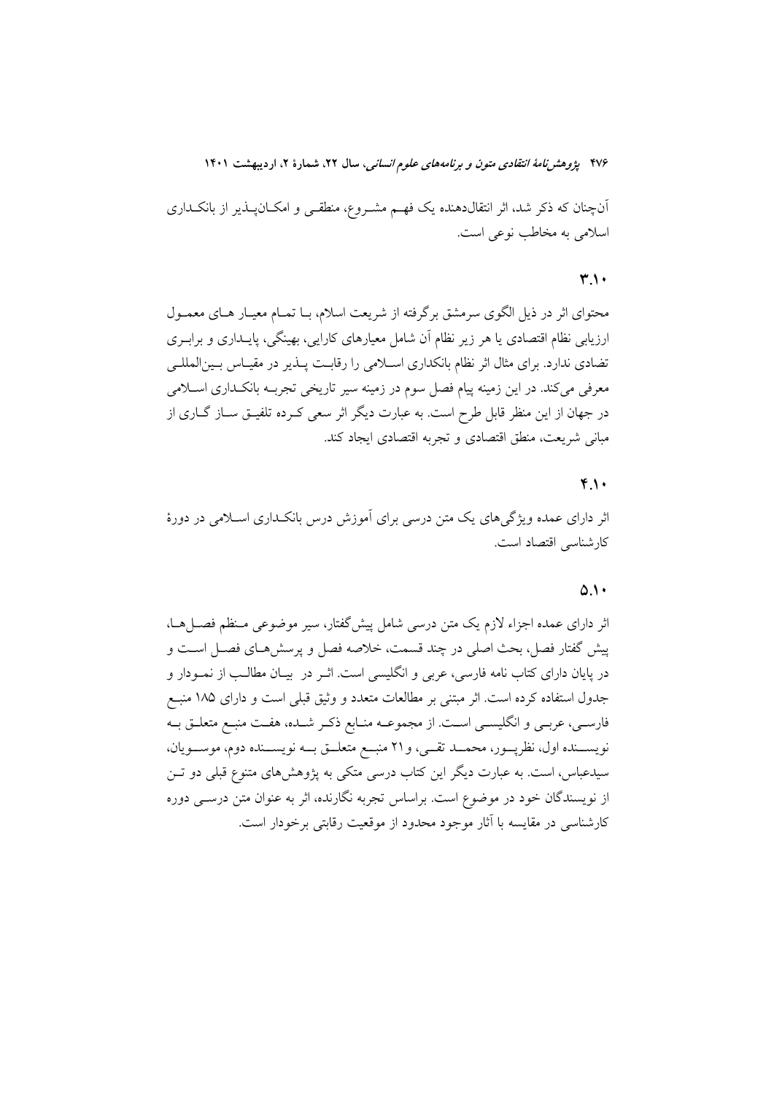آنچنان که ذکر شد، اثر انتقالدهنده یک فهـم مشـروع، منطقـی و امکـانپــذیر از بانکــداری اسلامي به مخاطب نوعي است.

#### ۳1.

محتوای اثر در ذیل الگوی سرمشق برگرفته از شریعت اسلام، بـا تمـام معیـار هـای معمـول ارزیابی نظام اقتصادی یا هر زیر نظام آن شامل معیارهای کارایی، بهینگی، پایــداری و برابــری تضادی ندارد. برای مثال اثر نظام بانکداری اسلامی را رقابت پــذیر در مقیــاس بــینالمللــی معرفی میکند. در این زمینه پیام فصل سوم در زمینه سیر تاریخی تجربـه بانکـداری اسـلامی در جهان از این منظر قابل طرح است. به عبارت دیگر اثر سعی کــرده تلفیــق ســاز گــاری از مباني شريعت، منطق اقتصادي و تجربه اقتصادي ايجاد كند.

#### $Y_{.}$

اثر دارای عمده ویژگی های یک متن درسی برای آموزش درس بانکـداری اســلامی در دورهٔ كارشناسي اقتصاد است.

#### $0.1$

اثر دارای عمده اجزاء لازم یک متن درسی شامل پیش گفتار، سیر موضوعی مـنظم فصـلهـا، پیش گفتار فصل، بحث اصلی در چند قسمت، خلاصه فصل و پرسش هـای فصـل اسـت و در پایان دارای کتاب نامه فارسی، عربی و انگلیسی است. اثـر در بیــان مطالــب از نمــودار و جدول استفاده کرده است. اثر مبتنی بر مطالعات متعدد و وثیق قبلی است و دارای ۱۸۵ منبع فارســي، عربــي و انگليســي اســت. از مجموعــه منــابع ذكـر شــده، هفــت منبــع متعلــق بــه نویســنده اول، نظرپــور، محمــد تقــي، و٢١ منبــع متعلــق بــه نویســنده دوم، موســویان، سیدعباس، است. به عبارت دیگر این کتاب درسی متکی به پژوهشهای متنوع قبلی دو تـن از نویسندگان خود در موضوع است. براساس تجربه نگارنده، اثر به عنوان متن درســی دوره كارشناسي در مقايسه با آثار موجود محدود از موقعيت رقابتي برخودار است.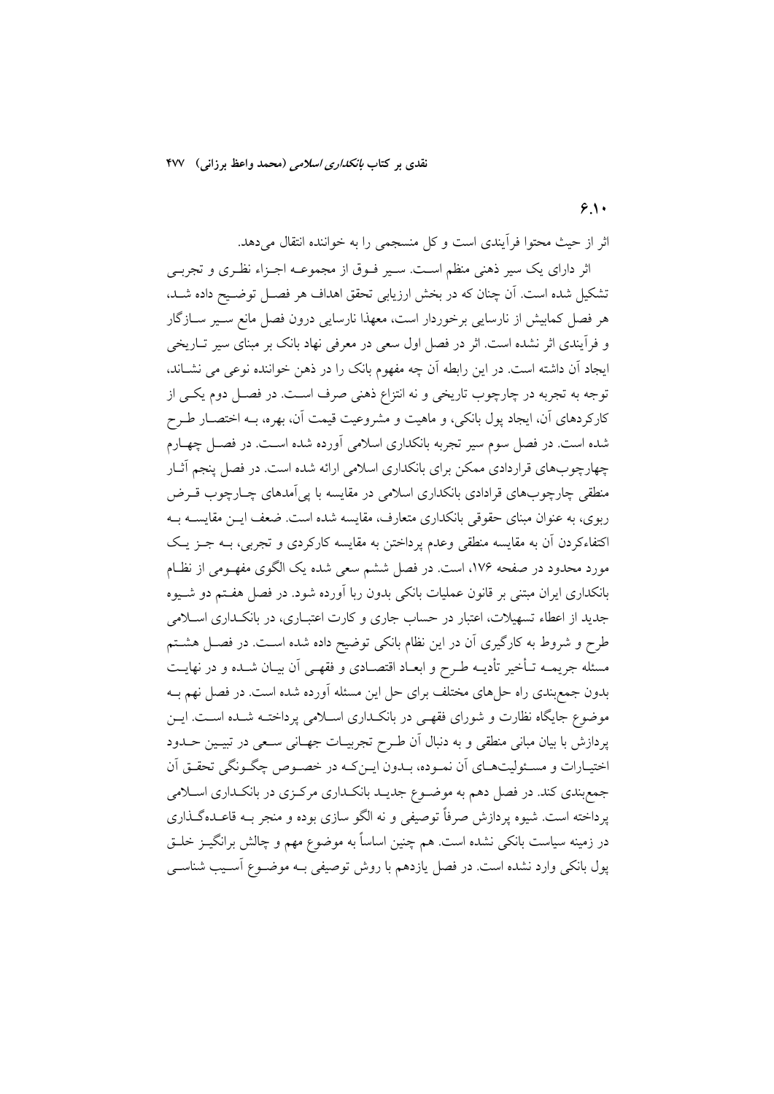**6.10**

ثر از حیث محتوا فرایندی است و کل منسجمی را به خواننده انتقال میدهد.

ثر دارای یک سیر ذهنی منظم اسـت. سـیر فــوق از مجموعــه اجــزاء نظـری و تجربــی تشکیل شده است. ان چنان که در بخش ارزیابی تحقق اهداف هر فصـل توضـیح داده شــد، هر فصل کمابیش از نارسایی برخوردار است، معهذا نارسایی درون فصل مانع ســیر ســازگار و فرایندی اثر نشده است. اثر در فصل اول سعی در معرفی نهاد بانک بر مبنای سیر تــاریخی یجاد ان داشته است. در این رابطه ان چه مفهوم بانک را در ذهن خواننده نوعی می نشــاند. توجه به تجربه در چارچوب تاریخی و نه انتزاع ذهنی صرف اســت. در فصــل دوم یکــی از کارکردهای ان، ایجاد پول بانکی، و ماهیت و مشروعیت قیمت ان، بهره، بــه اختصــار طــرح شده است. در فصل سوم سیر تجربه بانکداری اسلامی اورده شده اسـت. در فصــل چهــارم چهارچوبهای قراردادی ممکن برای بانکداری اسلامی ارائه شده است. در فصل پنجم اثــار منطقی چارچوبهای قرادادی بانکداری اسلامی در مقایسه با پی|مدهای چــارچوب قــرض ربوی، به عنوان مبنای حقوقی بانکداری متعارف، مقایسه شده است. ضعف ایــن مقایســه بــه کتفاءکردن ان به مقایسه منطقی وعدم پرداختن به مقایسه کارکردی و تجربی، بــه جــز یــک مورد محدود در صفحه ۱۷۶، است. در فصل ششم سعی شده یک الگوی مفهــومی از نظــام بانکداری ایران مبتنی بر قانون عملیات بانکی بدون ربا اورده شود. در فصل هفـتم دو شــیوه جدید از اعطاء تسهیلات، اعتبار در حساب جاری و کارت اعتبـاری، در بانکــداری اســلامی طرح و شروط به کارگیری ان در این نظام بانکی توضیح داده شده اسـت. در فصــل هشــتم مسئله جریمــه تــاخیر تادیــه طــرح و ابعــاد اقتصــادی و فقهــی ان بیــان شــده و در نهایــت بدون جمع بندی راه حل۱های مختلف برای حل این مسئله اورده شده است. در فصل نهم بــه موضوع جایگاه نظارت و شورای فقهـی در بانکــداری اســلامی پرداختــه شــده اســت. ایــن پردازش با بیان مبانی منطقی و به دنبال ان طـرح تجربیــات جهــانی ســعی در تبیــین حــدود ختیـارات و مسـئولیتهـای ان نمـوده، بـدون ایـنکـه در خصـوص چگـونگی تحقـق ان جمع بندی کند. در فصل دهم به موضــوع جدیــد بانکــداری مرکــزی در بانکــداری اســلامی پرداخته است. شیوه پردازش صرفا توصیفی و نه الگو سازی بوده و منجر بــه قاعــدهگــذاری در زمینه سیاست بانکی نشده است. هم چنین اساسا به موضوع مهم و چالش برانگیــز خلــق پول بانکی وارد نشده است. در فصل یازدهم با روش توصیفی بــه موضــوع اســیب شناســی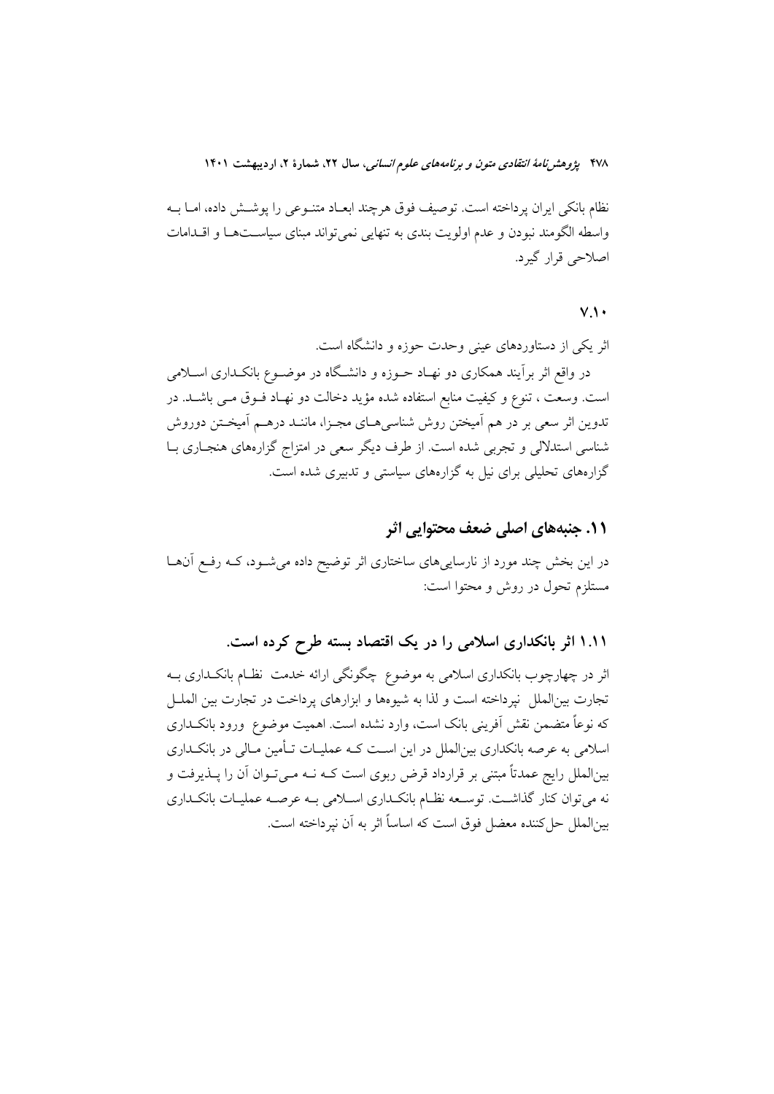نظام بانکی ایران پرداخته است. توصیف فوق هرچند ابعـاد متنـوعی را پوشــش داده، امــا بــه واسطه الگومند نبودن و عدم اولويت بندي به تنهايي نمي تواند مبناي سياسـتهـا و اقــدامات اصلاحي قرار گيرد.

### $V_{\cdot}$

اثر یکی از دستاوردهای عینی وحدت حوزه و دانشگاه است. در واقع اثر برآیند همکاری دو نهـاد حــوزه و دانشــگاه در موضــوع بانکــداری اســلامی است. وسعت ، تنوع و كيفيت منابع استفاده شده مؤيد دخالت دو نهـاد فــوق مــي باشــد. در تدوین اثر سعی بر در هم اَمیختن روش شناسیهـای مجـزا، ماننـد درهــم اَمیخـتن دوروش شناسی استدلالی و تجربی شده است. از طرف دیگر سعی در امتزاج گزارههای هنجباری ببا گزارههای تحلیلی برای نیل به گزارههای سیاستی و تدبیری شده است.

### ۱۱. جنبههای اصلی ضعف محتوایی اثر

در این بخش چند مورد از نارساییهای ساختاری اثر توضیح داده می شود، کـه رفـع آنهـا مستلزم تحول در روش و محتوا است:

۱.۱۱ اثر بانکداری اسلامی را در یک اقتصاد بسته طرح کرده است.

اثر در چهارچوب بانکداری اسلامی به موضوع چگونگی ارائه خدمت نظـام بانکـداری بــه تجارت بینالملل نپرداخته است و لذا به شیوهها و ابزارهای پرداخت در تجارت بین الملـل که نوعاً متضمن نقش اَفرینی بانک است، وارد نشده است. اهمیت موضوع ً ورود بانکــداری اسلامی به عرصه بانکداری بین|لملل در این است کـه عملیـات تـأمین مـالی در بانکـداری بینالملل رایج عمدتاً مبتنی بر قرارداد قرض ربوی است کـه نــه مــیتــوان آن را پــذیرفت و نه میتوان کنار گذاشت. توسعه نظام بانکداری اسلامی بـه عرصـه عملیـات بانکـداری بين|لملل حلكننده معضل فوق است كه اساساً اثر به آن نيرداخته است.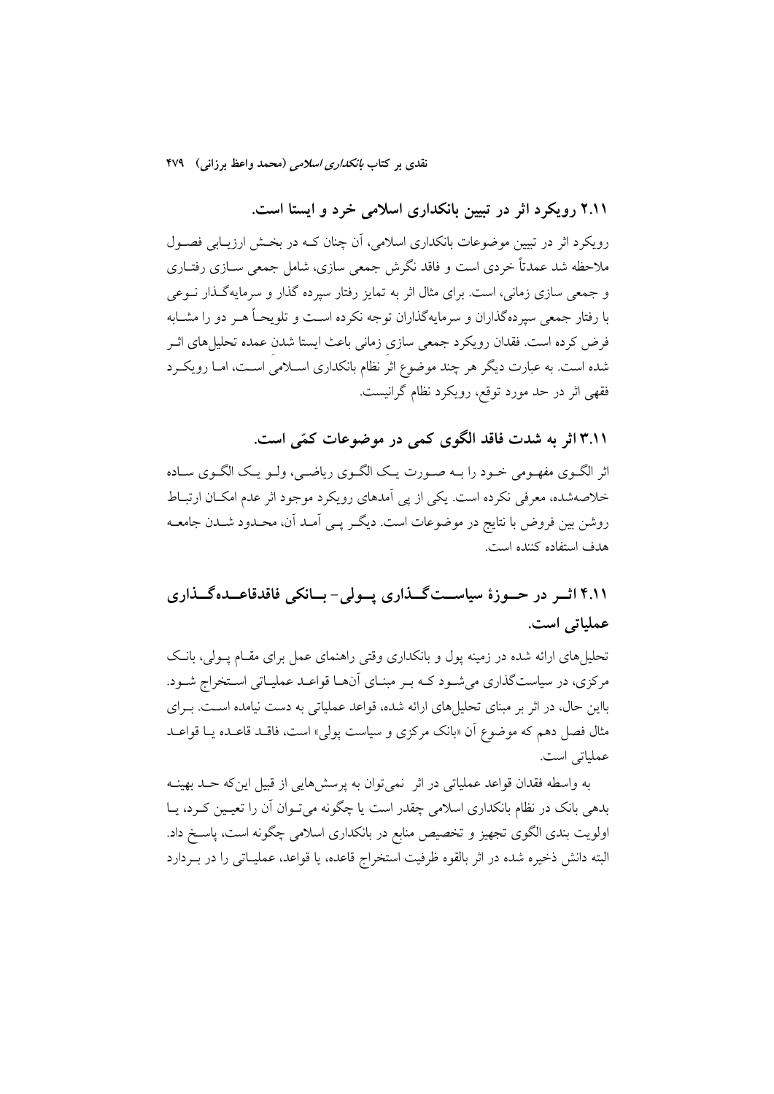۲.۱۱ رویکرد اثر در تبیین بانکداری اسلامی خرد و ایستا است.

رویکرد اثر در تبیین موضوعات بانکداری اسلامی، آن چنان کـه در بخـش ارزیـابی فصـول ملاحظه شد عمدتاً خردی است و فاقد نگرش جمعی سازی، شامل جمعی ســازی رفتــاری و جمعی سازی زمانی، است. برای مثال اثر به تمایز رفتار سیرده گذار و سرمایهگذار نــوعی با رفتار جمعی سپردهگذاران و سرمایهگذاران توجه نکرده اسـت و تلویحــاً هــر دو را مشــابه فرض كرده است. فقدان رويكرد جمعي سازي زماني باعث ايستا شدن عمده تحليلهاي اثـر شده است. به عبارت دیگر هر چند موضوع اثر نظام بانکداری اسـلامی اسـت، امـا رویکـرد فقهي اثر در حد مورد توقع، رويكرد نظام گرانيست.

۴.۱۱ اثر به شدت فاقد الگوی کمی در موضوعات کمّی است.

اثر الگـوى مفهـومى خـود را بـه صـورت يـك الگـوى رياضـي، ولـو يـك الگـوى سـاده خلاصهشده، معرفی نکرده است. یکی از یی اَمدهای رویکرد موجود اثر عدم امکـان ارتبـاط روشن بین فروض با نتایج در موضوعات است. دیگـر یــی آمـد آن، محـدود شــدن جامعــه هدف استفاده كننده است.

# ۴.۱۱ اثــر در حــوزهٔ سیاســتگــذاری پــولی- بــانکی فاقدقاعــدهگــذاری عملياتي است.

تحلیل های ارائه شده در زمینه یول و بانکداری وقتی راهنمای عمل برای مقـام پـولی، بانـک مرکزی، در سیاستگذاری میشود کـه بـر مبنـای آنهـا قواعـد عملیـاتی اسـتخراج شـود. بااین حال، در اثر بر مبنای تحلیل های ارائه شده، قواعد عملیاتی به دست نیامده اسـت. بـرای مثال فصل دهم که موضوع آن «بانک مرکزی و سیاست پول<sub>ی</sub>» است، فاقـد قاعـده یــا قواعـد عملياتي است.

به واسطه فقدان قواعد عملياتي در اثر نمي توان به پرسشهايي از قبيل اين كه حـد بهينــه بدهی بانک در نظام بانکداری اسلامی چقدر است یا چگونه میتوان آن را تعیمین کـرد، یــا اولویت بندی الگوی تجهیز و تخصیص منابع در بانکداری اسلامی چگونه است، پاسخ داد. البته دانش ذخیره شده در اثر بالقوه ظرفیت استخراج قاعده، یا قواعد، عملیـاتی را در بـردارد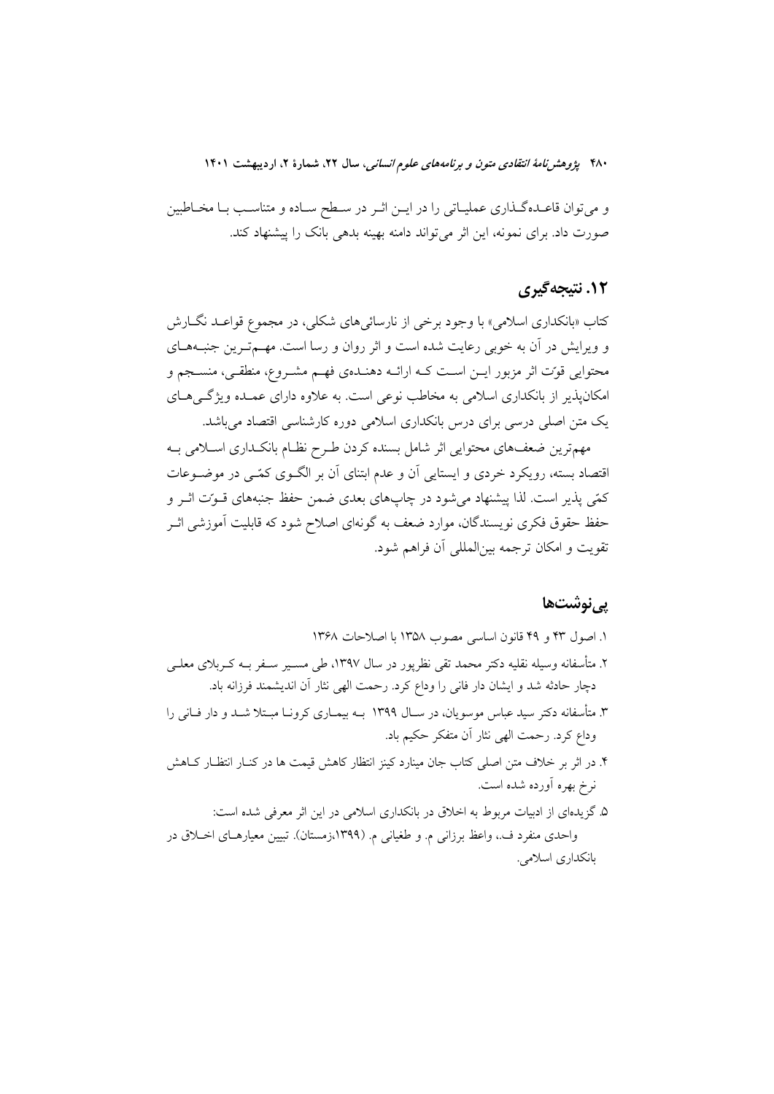و می توان قاعـدهگـذاری عملیـاتی را در ایـن اثـر در سـطح سـاده و متناسـب بـا مخـاطبین صورت داد. برای نمونه، این اثر می تواند دامنه بهینه بدهی بانک را پیشنهاد کند.

### **۱۲. نتیجهگیری**

کتاب «بانکداري اسلامي» با وجود برخي از نارسائي هاي شکلي، در مجموع قواعـد نگــارش و ویرایش در آن به خوبی رعایت شده است و اثر روان و رسا است. مهــمتـرین جنبـههـای محتوایی قوت اثر مزبور ایــن اسـت کــه ارائــه دهنــدهی فهــم مشــروع، منطقــی، منســجم و امکانپذیر از بانکداری اسلامی به مخاطب نوعی است. به علاوه دارای عمـده ویژگـیهـای یک متن اصلی درسی برای درس بانکداری اسلامی دوره کارشناسی اقتصاد میباشد.

مهمترین ضعف های محتوایی اثر شامل بسنده کردن طـرح نظـام بانکـداری اسـلامی بـه اقتصاد بسته، رویکرد خردی و ایستایی آن و عدم ابتنای آن بر الگـوی کمّـی در موضـوعات كمّى يذير است. لذا ييشنهاد مى شود در چاپهاى بعدى ضمن حفظ جنبههاى قـوّت اثـر و حفظ حقوق فکری نویسندگان، موارد ضعف به گونهای اصلاح شود که قابلیت آموزشی اثـر تقويت و امكان ترجمه بين|لمللي أن فراهم شود.

### یے نوشتھا

- ١. اصول ٢٣ و ٢٩ قانون اساسي مصوب ١٣٥٨ با اصلاحات ١٣۶٨
- ۲. متأسفانه وسیله نقلیه دکتر محمد تقی نظریور در سال ۱۳۹۷، طی مســیر ســفر بــه کــربلای معلــی دچار حادثه شد و ایشان دار فانی را وداع کرد. رحمت الهی نثار آن اندیشمند فرزانه باد.
- ۳. متأسفانه دکتر سید عباس موسویان، در سـال ۱۳۹۹ بــه بیمـاری کرونــا مبـتلا شــد و دار فــانی را وداع كرد. رحمت الهي نثار آن متفكر حكيم باد.
- ۴. در اثر بر خلاف متن اصلی کتاب جان مینارد کینز انتظار کاهش قیمت ها در کنــار انتظــار کــاهش نرخ بهره أورده شده است.
- ۵. گزیدمای از ادبیات مربوط به اخلاق در بانکداری اسلامی در این اثر معرفی شده است: واحدی منفرد ف.، واعظ برزانی م. و طغیانی م. (۱۳۹۹،زمستان). تبیین معیارهـای اخـلاق در بانكداري اسلامي.